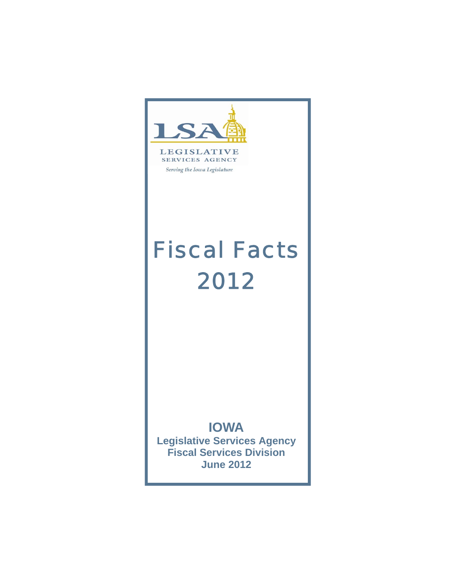



Serving the Iowa Legislature

# *Fiscal Facts 2012*

# **IOWA**

**Legislative Services Agency Fiscal Services Division June 2012**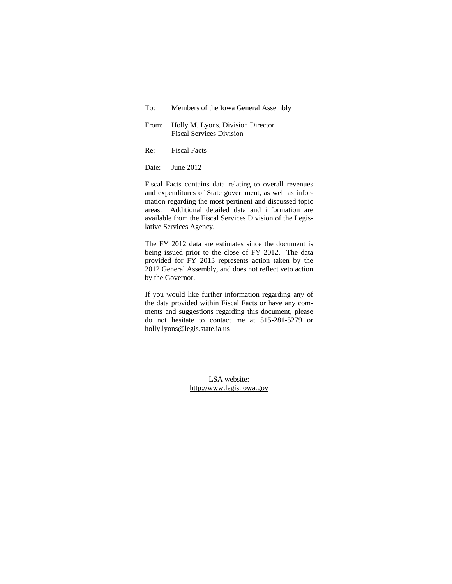| To: To | Members of the Iowa General Assembly                                       |
|--------|----------------------------------------------------------------------------|
|        | From: Holly M. Lyons, Division Director<br><b>Fiscal Services Division</b> |
| Re:    | <b>Fiscal Facts</b>                                                        |

Date: Iune 2012

Fiscal Facts contains data relating to overall revenues and expenditures of State government, as well as information regarding the most pertinent and discussed topic areas. Additional detailed data and information are available from the Fiscal Services Division of the Legislative Services Agency.

The FY 2012 data are estimates since the document is being issued prior to the close of FY 2012. The data provided for FY 2013 represents action taken by the 2012 General Assembly, and does not reflect veto action by the Governor.

If you would like further information regarding any of the data provided within Fiscal Facts or have any comments and suggestions regarding this document, please do not hesitate to contact me at 515-281-5279 or holly.lyons@legis.state.ia.us

> LSA website: http://www.legis.iowa.gov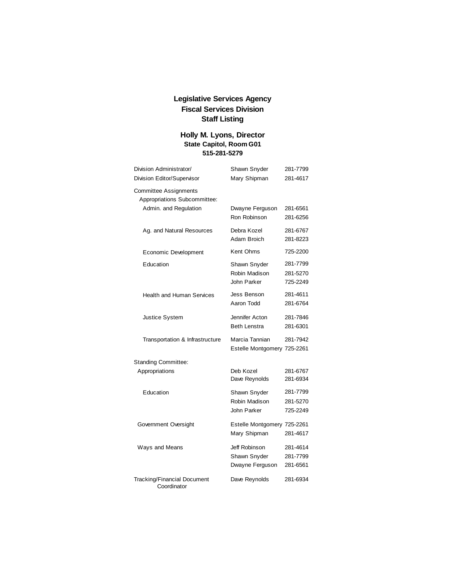# **Legislative Services Agency Fiscal Services Division Staff Listing**

# **Holly M. Lyons, Director State Capitol, Room G01 515-281-5279**

| Division Administrator/                                      | Shawn Snyder                                     | 281-7799                         |
|--------------------------------------------------------------|--------------------------------------------------|----------------------------------|
| Division Editor/Supervisor                                   | Mary Shipman                                     | 281-4617                         |
| <b>Committee Assignments</b><br>Appropriations Subcommittee: |                                                  |                                  |
| Admin. and Regulation                                        | Dwayne Ferguson<br>Ron Robinson                  | 281-6561<br>281-6256             |
| Ag. and Natural Resources                                    | Debra Kozel<br>Adam Broich                       | 281-6767<br>281-8223             |
| Economic Development                                         | Kent Ohms                                        | 725-2200                         |
| Education                                                    | Shawn Snyder<br>Robin Madison<br>John Parker     | 281-7799<br>281-5270<br>725-2249 |
| <b>Health and Human Services</b>                             | Jess Benson<br>Aaron Todd                        | 281-4611<br>281-6764             |
| <b>Justice System</b>                                        | Jennifer Acton<br><b>Beth Lenstra</b>            | 281-7846<br>281-6301             |
| Transportation & Infrastructure                              | Marcia Tannian<br>Estelle Montgomery 725-2261    | 281-7942                         |
| <b>Standing Committee:</b>                                   |                                                  |                                  |
| Appropriations                                               | Deb Kozel<br>Dave Reynolds                       | 281-6767<br>281-6934             |
| Education                                                    | Shawn Snyder<br>Robin Madison<br>John Parker     | 281-7799<br>281-5270<br>725-2249 |
| Government Oversight                                         | Estelle Montgomery 725-2261<br>Mary Shipman      | 281-4617                         |
| Ways and Means                                               | Jeff Robinson<br>Shawn Snyder<br>Dwayne Ferguson | 281-4614<br>281-7799<br>281-6561 |
| <b>Tracking/Financial Document</b><br>Coordinator            | Dave Reynolds                                    | 281-6934                         |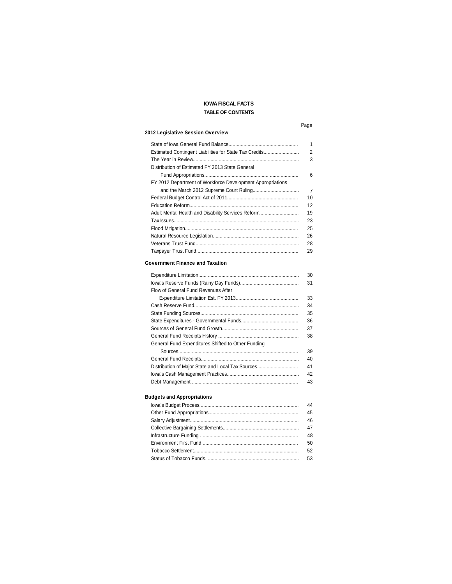# **IOWA FISCAL FACTS TABLE OF CONTENTS**

#### Page

#### **2012 Legislative Session Overview**

|                                                            | 1              |
|------------------------------------------------------------|----------------|
|                                                            |                |
| Estimated Contingent Liabilities for State Tax Credits     | 2              |
|                                                            | 3              |
| Distribution of Estimated FY 2013 State General            |                |
|                                                            | 6              |
| FY 2012 Department of Workforce Development Appropriations |                |
|                                                            | $\overline{7}$ |
|                                                            | 10             |
|                                                            | 12             |
| Adult Mental Health and Disability Services Reform         | 19             |
|                                                            | 23             |
|                                                            | 25             |
|                                                            | 26             |
|                                                            | 28             |
|                                                            | 29             |

#### **Government Finance and Taxation**

|                                                    | 30 |
|----------------------------------------------------|----|
|                                                    | 31 |
| Flow of General Fund Revenues After                |    |
|                                                    | 33 |
|                                                    | 34 |
|                                                    | 35 |
|                                                    | 36 |
|                                                    | 37 |
|                                                    | 38 |
| General Fund Expenditures Shifted to Other Funding |    |
|                                                    | 39 |
|                                                    | 40 |
| Distribution of Major State and Local Tax Sources  | 41 |
|                                                    | 42 |
|                                                    | 43 |

# **Budgets and Appropriations**

| 44 |
|----|
| 45 |
| 46 |
| 47 |
| 48 |
| 50 |
| 52 |
| 53 |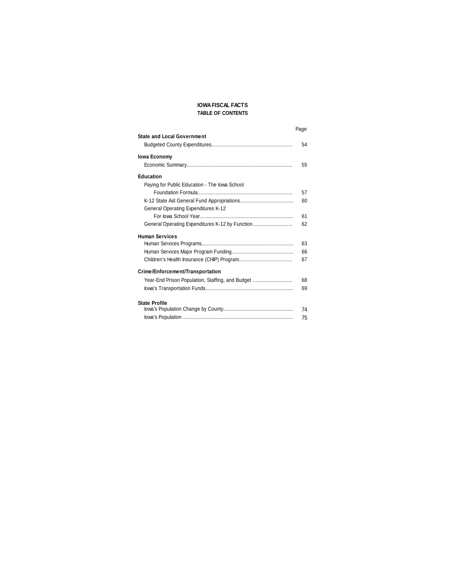### **IOWA FISCAL FACTS TABLE OF CONTENTS**

|                                                  | Page |
|--------------------------------------------------|------|
| <b>State and Local Government</b>                |      |
|                                                  | 54   |
| <b>Iowa Economy</b>                              |      |
|                                                  | 55   |
| <b>Education</b>                                 |      |
| Paying for Public Education - The Iowa School    |      |
|                                                  | 57   |
|                                                  | 60   |
| General Operating Expenditures K-12              |      |
|                                                  | 61   |
| General Operating Expenditures K-12 by Function  | 62   |
| <b>Human Services</b>                            |      |
|                                                  | 63   |
|                                                  | 66   |
|                                                  | 67   |
| Crime/Enforcement/Transportation                 |      |
| Year-End Prison Population, Staffing, and Budget | 68   |
|                                                  | 69   |
| <b>State Profile</b>                             |      |
|                                                  | 74   |
|                                                  | 75   |
|                                                  |      |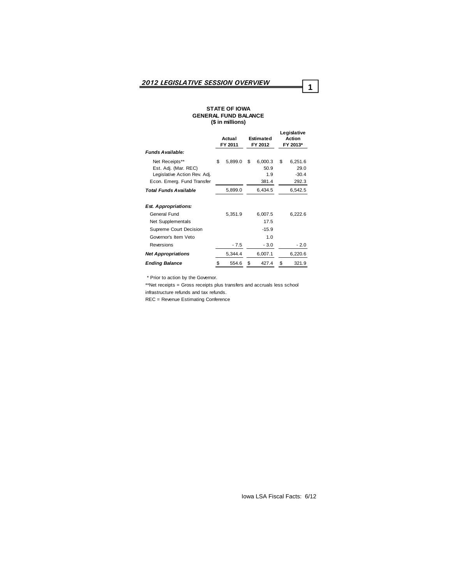#### **STATE OF IOWA GENERAL FUND BALANCE (\$ in millions)**

|                              |    | Actual<br>FY 2011 | <b>Estimated</b><br>FY 2012 | Legislative<br>Action<br>FY 2013* |
|------------------------------|----|-------------------|-----------------------------|-----------------------------------|
| <b>Funds Available:</b>      |    |                   |                             |                                   |
| Net Receipts**               | \$ | 5,899.0           | \$<br>6,000.3               | \$<br>6,251.6                     |
| Est. Adj. (Mar. REC)         |    |                   | 50.9                        | 29.0                              |
| Legislative Action Rev. Adj. |    |                   | 1.9                         | $-30.4$                           |
| Econ. Emerg. Fund Transfer   |    |                   | 381.4                       | 292.3                             |
| Total Funds Available        |    | 5,899.0           | 6,434.5                     | 6,542.5                           |
| <b>Est. Appropriations:</b>  |    |                   |                             |                                   |
| General Fund                 |    | 5,351.9           | 6,007.5                     | 6,222.6                           |
| Net Supplementals            |    |                   | 17.5                        |                                   |
| Supreme Court Decision       |    |                   | $-15.9$                     |                                   |
| Governor's Item Veto         |    |                   | 1.0                         |                                   |
| Reversions                   |    | $-7.5$            | $-3.0$                      | $-2.0$                            |
| <b>Net Appropriations</b>    |    | 5.344.4           | 6,007.1                     | 6,220.6                           |
| <b>Ending Balance</b>        | \$ | 554.6             | \$<br>427.4                 | \$<br>321.9                       |

\* Prior to action by the Governor.

\*\*Net receipts = Gross receipts plus transfers and accruals less school infrastructure refunds and tax refunds.

REC = Revenue Estimating Conference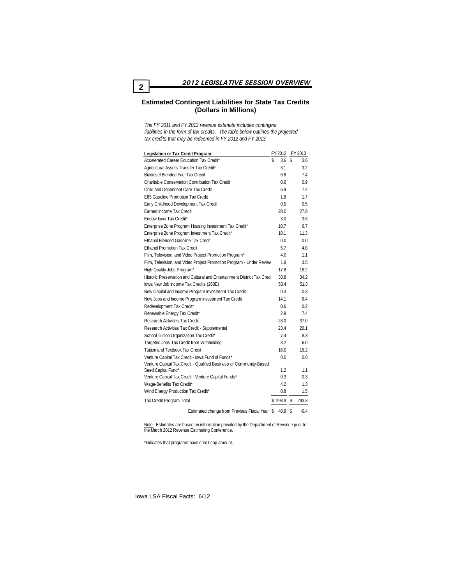#### **Estimated Contingent Liabilities for State Tax Credits (Dollars in Millions)**

*The FY 2011 and FY 2012 revenue estimate includes contingent liabilities in the form of tax credits. The table below outlines the projected tax credits that may be redeemed in FY 2012 and FY 2013.*

| <b>Legislation or Tax Credit Program</b>                               | FY 2012   |    | FY 2013       |
|------------------------------------------------------------------------|-----------|----|---------------|
| Accelerated Career Education Tax Credit*                               | \$<br>3.6 | S  | 3.6           |
| Agricultural Assets Transfer Tax Credit*                               | 3.1       |    | 3.2           |
| <b>Biodiesel Blended Fuel Tax Credit</b>                               | 6.6       |    | 7.4           |
| Charitable Conservation Contribution Tax Credit                        | 0.6       |    | 0.9           |
| Child and Dependent Care Tax Credit                                    | 6.9       |    | 7.4           |
| E85 Gasoline Promotion Tax Credit                                      | 1.8       |    | 1.7           |
| Early Childhood Development Tax Credit                                 | 0.5       |    | $0.5^{\circ}$ |
| Earned Income Tax Credit                                               | 28.0      |    | 27.8          |
| Endow Iowa Tax Credit*                                                 | 3.0       |    | 3.6           |
| Enterprise Zone Program Housing Investment Tax Credit*                 | 10.7      |    | 6.7           |
| Enterprise Zone Program Investment Tax Credit*                         | 10.1      |    | 11.3          |
| Ethanol Blended Gasoline Tax Credit                                    | 0.0       |    | 0.0           |
| <b>Ethanol Promotion Tax Credit</b>                                    | 5.7       |    | 4.8           |
| Film, Television, and Video Project Promotion Program*                 | 4.0       |    | 11            |
| Film, Television, and Video Project Promotion Program - Under Review   | 1.9       |    | 3.5           |
| High Quality Jobs Program*                                             | 17.8      |    | 18.2          |
| Historic Preservation and Cultural and Entertainment District Tax Cred | 33.8      |    | 34.2          |
| lowa New Job Income Tax Credits (260E)                                 | 53.4      |    | 51.3          |
| New Capital and Income Program Investment Tax Credit                   | 0.3       |    | 0.3           |
| New Jobs and Income Program Investment Tax Credit                      | 141       |    | 6.4           |
| Redevelopment Tax Credit*                                              | 0.6       |    | 0.2           |
| Renewable Energy Tax Credit*                                           | 2.9       |    | 7.4           |
| <b>Research Activities Tax Credit</b>                                  | 28.0      |    | 37.0          |
| Research Activities Tax Credit - Supplemental                          | 23.4      |    | 20.1          |
| School Tuition Organization Tax Credit*                                | 74        |    | 8.3           |
| Targeted Jobs Tax Credit from Withholding                              | 3.2       |    | 6.0           |
| Tuition and Textbook Tax Credit                                        | 16.0      |    | 16.2          |
| Venture Capital Tax Credit - lowa Fund of Funds*                       | 0.0       |    | 0.0           |
| Venture Capital Tax Credit - Qualified Business or Community-Based     |           |    |               |
| Seed Capital Fund*                                                     | 1.2       |    | 1.1           |
| Venture Capital Tax Credit - Venture Capital Funds*                    | 0.3       |    | 0.3           |
| Wage-Benefits Tax Credit*                                              | 4.2       |    | 1.3           |
| Wind Energy Production Tax Credit*                                     | 0.8       |    | 1.5           |
| Tax Credit Program Total                                               | \$293.9   | S. | 293.3         |
| Estimated change from Previous Fiscal Year \$                          | 40.9      | S  | $-0.4$        |

Note: Estimates are based on information provided by the Department of Revenue prior to<br>the March 2012 Revenue Estimating Conference.

\*Indicates that programs have credit cap amount.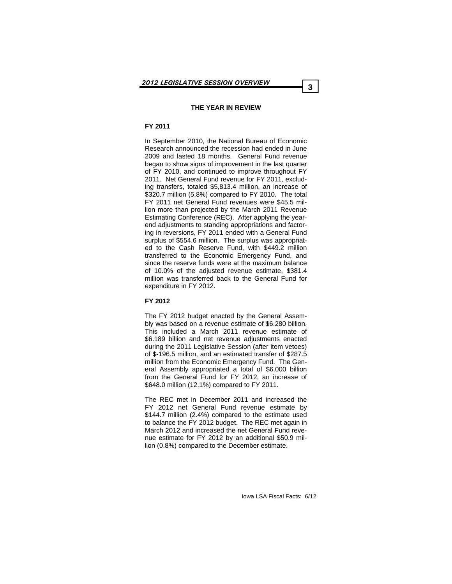#### **THE YEAR IN REVIEW**

# **FY 2011**

In September 2010, the National Bureau of Economic Research announced the recession had ended in June 2009 and lasted 18 months. General Fund revenue began to show signs of improvement in the last quarter of FY 2010, and continued to improve throughout FY 2011. Net General Fund revenue for FY 2011, excluding transfers, totaled \$5,813.4 million, an increase of \$320.7 million (5.8%) compared to FY 2010. The total FY 2011 net General Fund revenues were \$45.5 million more than projected by the March 2011 Revenue Estimating Conference (REC). After applying the yearend adjustments to standing appropriations and factoring in reversions, FY 2011 ended with a General Fund surplus of \$554.6 million. The surplus was appropriated to the Cash Reserve Fund, with \$449.2 million transferred to the Economic Emergency Fund, and since the reserve funds were at the maximum balance of 10.0% of the adjusted revenue estimate, \$381.4 million was transferred back to the General Fund for expenditure in FY 2012.

#### **FY 2012**

The FY 2012 budget enacted by the General Assembly was based on a revenue estimate of \$6.280 billion. This included a March 2011 revenue estimate of \$6.189 billion and net revenue adjustments enacted during the 2011 Legislative Session (after item vetoes) of \$-196.5 million, and an estimated transfer of \$287.5 million from the Economic Emergency Fund. The General Assembly appropriated a total of \$6.000 billion from the General Fund for FY 2012, an increase of \$648.0 million (12.1%) compared to FY 2011.

The REC met in December 2011 and increased the FY 2012 net General Fund revenue estimate by \$144.7 million (2.4%) compared to the estimate used to balance the FY 2012 budget. The REC met again in March 2012 and increased the net General Fund revenue estimate for FY 2012 by an additional \$50.9 million (0.8%) compared to the December estimate.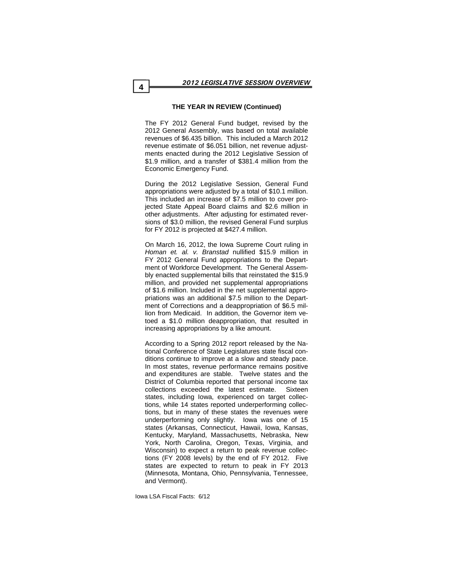#### **THE YEAR IN REVIEW (Continued)**

The FY 2012 General Fund budget, revised by the 2012 General Assembly, was based on total available revenues of \$6.435 billion. This included a March 2012 revenue estimate of \$6.051 billion, net revenue adjustments enacted during the 2012 Legislative Session of \$1.9 million, and a transfer of \$381.4 million from the Economic Emergency Fund.

During the 2012 Legislative Session, General Fund appropriations were adjusted by a total of \$10.1 million. This included an increase of \$7.5 million to cover projected State Appeal Board claims and \$2.6 million in other adjustments. After adjusting for estimated reversions of \$3.0 million, the revised General Fund surplus for FY 2012 is projected at \$427.4 million.

On March 16, 2012, the Iowa Supreme Court ruling in *Homan et. al. v. Branstad* nullified \$15.9 million in FY 2012 General Fund appropriations to the Department of Workforce Development. The General Assembly enacted supplemental bills that reinstated the \$15.9 million, and provided net supplemental appropriations of \$1.6 million. Included in the net supplemental appropriations was an additional \$7.5 million to the Department of Corrections and a deappropriation of \$6.5 million from Medicaid. In addition, the Governor item vetoed a \$1.0 million deappropriation, that resulted in increasing appropriations by a like amount.

According to a Spring 2012 report released by the National Conference of State Legislatures state fiscal conditions continue to improve at a slow and steady pace. In most states, revenue performance remains positive and expenditures are stable. Twelve states and the District of Columbia reported that personal income tax collections exceeded the latest estimate. Sixteen states, including Iowa, experienced on target collections, while 14 states reported underperforming collections, but in many of these states the revenues were underperforming only slightly. Iowa was one of 15 states (Arkansas, Connecticut, Hawaii, Iowa, Kansas, Kentucky, Maryland, Massachusetts, Nebraska, New York, North Carolina, Oregon, Texas, Virginia, and Wisconsin) to expect a return to peak revenue collections (FY 2008 levels) by the end of FY 2012. Five states are expected to return to peak in FY 2013 (Minnesota, Montana, Ohio, Pennsylvania, Tennessee, and Vermont).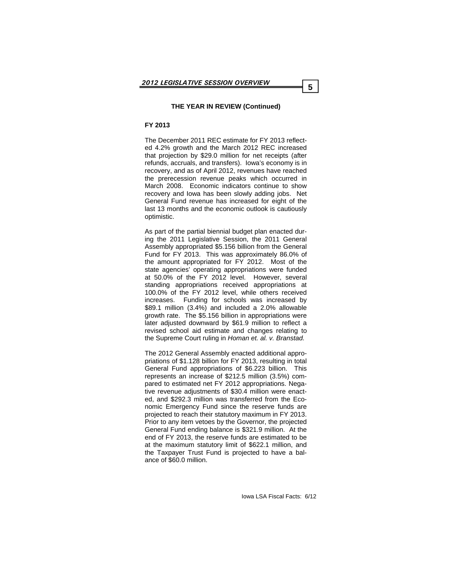#### **FY 2013**

The December 2011 REC estimate for FY 2013 reflected 4.2% growth and the March 2012 REC increased that projection by \$29.0 million for net receipts (after refunds, accruals, and transfers). Iowa's economy is in recovery, and as of April 2012, revenues have reached the prerecession revenue peaks which occurred in March 2008. Economic indicators continue to show recovery and Iowa has been slowly adding jobs. Net General Fund revenue has increased for eight of the last 13 months and the economic outlook is cautiously optimistic.

As part of the partial biennial budget plan enacted during the 2011 Legislative Session, the 2011 General Assembly appropriated \$5.156 billion from the General Fund for FY 2013. This was approximately 86.0% of the amount appropriated for FY 2012. Most of the state agencies' operating appropriations were funded at 50.0% of the FY 2012 level. However, several standing appropriations received appropriations at 100.0% of the FY 2012 level, while others received increases. Funding for schools was increased by \$89.1 million (3.4%) and included a 2.0% allowable growth rate. The \$5.156 billion in appropriations were later adjusted downward by \$61.9 million to reflect a revised school aid estimate and changes relating to the Supreme Court ruling in *Homan et. al. v. Branstad.* 

The 2012 General Assembly enacted additional appropriations of \$1.128 billion for FY 2013, resulting in total General Fund appropriations of \$6.223 billion. This represents an increase of \$212.5 million (3.5%) compared to estimated net FY 2012 appropriations. Negative revenue adjustments of \$30.4 million were enacted, and \$292.3 million was transferred from the Economic Emergency Fund since the reserve funds are projected to reach their statutory maximum in FY 2013. Prior to any item vetoes by the Governor, the projected General Fund ending balance is \$321.9 million. At the end of FY 2013, the reserve funds are estimated to be at the maximum statutory limit of \$622.1 million, and the Taxpayer Trust Fund is projected to have a balance of \$60.0 million.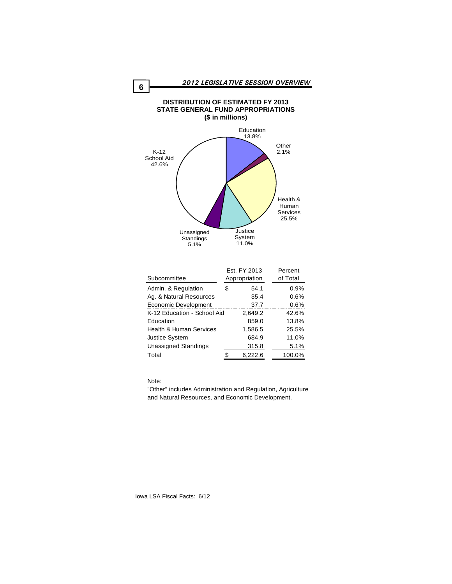

#### Note:

"Other" includes Administration and Regulation, Agriculture and Natural Resources, and Economic Development.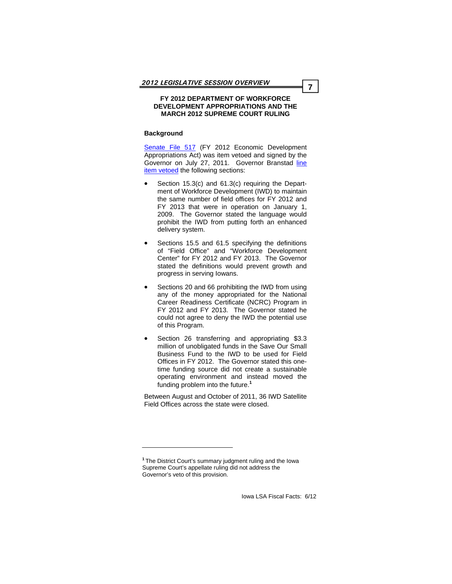#### **FY 2012 DEPARTMENT OF WORKFORCE DEVELOPMENT APPROPRIATIONS AND THE MARCH 2012 SUPREME COURT RULING**

#### **Background**

[Senate File 517](http://coolice.legis.state.ia.us/Cool-ICE/default.asp?Category=billinfo&Service=Billbook&menu=false&hbill=sf517) (FY 2012 Economic Development Appropriations Act) was item vetoed and signed by the [Governor on July 27, 2011. Governor Branstad line](http://coolice.legis.state.ia.us/linc/84/external/govbills/sf517.pdf) item vetoed the following sections:

- Section 15.3(c) and 61.3(c) requiring the Department of Workforce Development (IWD) to maintain the same number of field offices for FY 2012 and FY 2013 that were in operation on January 1, 2009. The Governor stated the language would prohibit the IWD from putting forth an enhanced delivery system.
- Sections 15.5 and 61.5 specifying the definitions of "Field Office" and "Workforce Development Center" for FY 2012 and FY 2013. The Governor stated the definitions would prevent growth and progress in serving Iowans.
- Sections 20 and 66 prohibiting the IWD from using any of the money appropriated for the National Career Readiness Certificate (NCRC) Program in FY 2012 and FY 2013. The Governor stated he could not agree to deny the IWD the potential use of this Program.
- Section 26 transferring and appropriating \$3.3 million of unobligated funds in the Save Our Small Business Fund to the IWD to be used for Field Offices in FY 2012. The Governor stated this onetime funding source did not create a sustainable operating environment and instead moved the funding problem into the future.**<sup>1</sup>**

Between August and October of 2011, 36 IWD Satellite Field Offices across the state were closed.

**<sup>1</sup>**The District Court's summary judgment ruling and the Iowa Supreme Court's appellate ruling did not address the Governor's veto of this provision.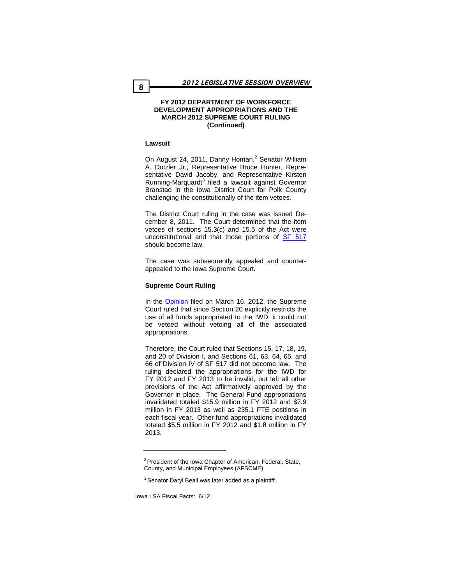#### **FY 2012 DEPARTMENT OF WORKFORCE DEVELOPMENT APPROPRIATIONS AND THE MARCH 2012 SUPREME COURT RULING (Continued)**

#### **Lawsuit**

On August 24, 2011, Danny Homan,<sup>2</sup> Senator William A. Dotzler Jr., Representative Bruce Hunter, Representative David Jacoby, and Representative Kirsten Running-Marquardt<sup>3</sup> filed a lawsuit against Governor Branstad in the Iowa District Court for Polk County challenging the constitutionally of the item vetoes.

The District Court ruling in the case was issued December 8, 2011. The Court determined that the item vetoes of sections 15.3(c) and 15.5 of the Act were unconstitutional and that those portions of [SF 517](http://coolice.legis.state.ia.us/Cool-ICE/default.asp?Category=billinfo&Service=Billbook&menu=false&hbill=sf517) should become law.

The case was subsequently appealed and counterappealed to the Iowa Supreme Court.

#### **Supreme Court Ruling**

In the **[Opinion](http://www.iowacourtsonline.org/Supreme_Court/Recent_Opinions/20120316/11-2022.pdf)** filed on March 16, 2012, the Supreme Court ruled that since Section 20 explicitly restricts the use of all funds appropriated to the IWD, it could not be vetoed without vetoing all of the associated appropriations.

Therefore, the Court ruled that Sections 15, 17, 18, 19, and 20 of Division I, and Sections 61, 63, 64, 65, and 66 of Division IV of SF 517 did not become law. The ruling declared the appropriations for the IWD for FY 2012 and FY 2013 to be invalid, but left all other provisions of the Act affirmatively approved by the Governor in place. The General Fund appropriations invalidated totaled \$15.9 million in FY 2012 and \$7.9 million in FY 2013 as well as 235.1 FTE positions in each fiscal year. Other fund appropriations invalidated totaled \$5.5 million in FY 2012 and \$1.8 million in FY 2013.

 $2$  President of the Iowa Chapter of American, Federal, State, County, and Municipal Employees (AFSCME)

<sup>&</sup>lt;sup>3</sup> Senator Daryl Beall was later added as a plaintiff.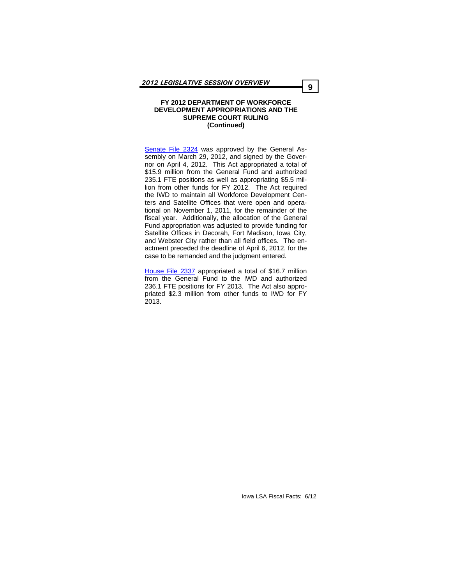#### **FY 2012 DEPARTMENT OF WORKFORCE DEVELOPMENT APPROPRIATIONS AND THE SUPREME COURT RULING (Continued)**

[Senate File 2324](http://coolice.legis.state.ia.us/Cool-ICE/default.asp?Category=billinfo&Service=Billbook&menu=false&hbill=sf2324) was approved by the General Assembly on March 29, 2012, and signed by the Governor on April 4, 2012. This Act appropriated a total of \$15.9 million from the General Fund and authorized 235.1 FTE positions as well as appropriating \$5.5 million from other funds for FY 2012. The Act required the IWD to maintain all Workforce Development Centers and Satellite Offices that were open and operational on November 1, 2011, for the remainder of the fiscal year. Additionally, the allocation of the General Fund appropriation was adjusted to provide funding for Satellite Offices in Decorah, Fort Madison, Iowa City, and Webster City rather than all field offices. The enactment preceded the deadline of April 6, 2012, for the case to be remanded and the judgment entered.

[House File 2337](http://coolice.legis.state.ia.us/Cool-ICE/default.asp?Category=billinfo&Service=Billbook&menu=false&ga=84&hbill=HF2337) appropriated a total of \$16.7 million from the General Fund to the IWD and authorized 236.1 FTE positions for FY 2013. The Act also appropriated \$2.3 million from other funds to IWD for FY 2013.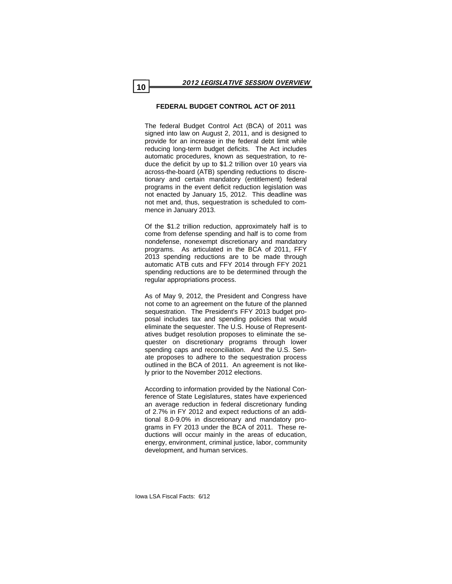#### **FEDERAL BUDGET CONTROL ACT OF 2011**

The federal Budget Control Act (BCA) of 2011 was signed into law on August 2, 2011, and is designed to provide for an increase in the federal debt limit while reducing long-term budget deficits. The Act includes automatic procedures, known as sequestration, to reduce the deficit by up to \$1.2 trillion over 10 years via across-the-board (ATB) spending reductions to discretionary and certain mandatory (entitlement) federal programs in the event deficit reduction legislation was not enacted by January 15, 2012. This deadline was not met and, thus, sequestration is scheduled to commence in January 2013.

Of the \$1.2 trillion reduction, approximately half is to come from defense spending and half is to come from nondefense, nonexempt discretionary and mandatory programs. As articulated in the BCA of 2011, FFY 2013 spending reductions are to be made through automatic ATB cuts and FFY 2014 through FFY 2021 spending reductions are to be determined through the regular appropriations process.

As of May 9, 2012, the President and Congress have not come to an agreement on the future of the planned sequestration. The President's FFY 2013 budget proposal includes tax and spending policies that would eliminate the sequester. The U.S. House of Representatives budget resolution proposes to eliminate the sequester on discretionary programs through lower spending caps and reconciliation. And the U.S. Senate proposes to adhere to the sequestration process outlined in the BCA of 2011. An agreement is not likely prior to the November 2012 elections.

According to information provided by the National Conference of State Legislatures, states have experienced an average reduction in federal discretionary funding of 2.7% in FY 2012 and expect reductions of an additional 8.0-9.0% in discretionary and mandatory programs in FY 2013 under the BCA of 2011. These reductions will occur mainly in the areas of education, energy, environment, criminal justice, labor, community development, and human services.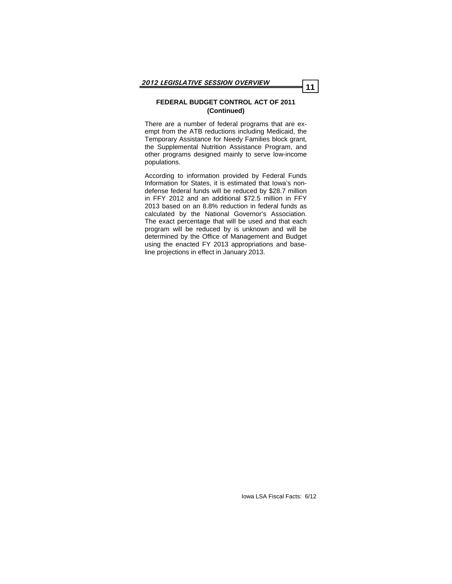#### **FEDERAL BUDGET CONTROL ACT OF 2011 (Continued)**

There are a number of federal programs that are exempt from the ATB reductions including Medicaid, the Temporary Assistance for Needy Families block grant, the Supplemental Nutrition Assistance Program, and other programs designed mainly to serve low-income populations.

According to information provided by Federal Funds Information for States, it is estimated that Iowa's nondefense federal funds will be reduced by \$28.7 million in FFY 2012 and an additional \$72.5 million in FFY 2013 based on an 8.8% reduction in federal funds as calculated by the National Governor's Association. The exact percentage that will be used and that each program will be reduced by is unknown and will be determined by the Office of Management and Budget using the enacted FY 2013 appropriations and baseline projections in effect in January 2013.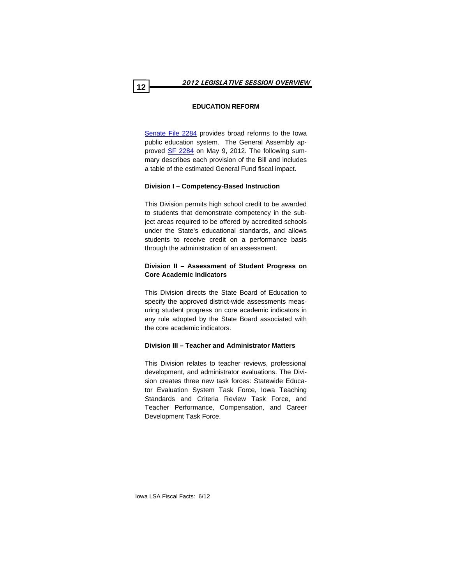# **EDUCATION REFORM**

[Senate File 2284](http://coolice.legis.state.ia.us/Cool-ICE/default.asp?Category=billinfo&Service=Billbook&menu=false&hbill=sf2284) provides broad reforms to the Iowa public education system. The General Assembly approved [SF 2284](http://coolice.legis.state.ia.us/Cool-ICE/default.asp?Category=billinfo&Service=Billbook&menu=false&hbill=sf2284) on May 9, 2012. The following summary describes each provision of the Bill and includes a table of the estimated General Fund fiscal impact.

# **Division I – Competency-Based Instruction**

This Division permits high school credit to be awarded to students that demonstrate competency in the subject areas required to be offered by accredited schools under the State's educational standards, and allows students to receive credit on a performance basis through the administration of an assessment.

# **Division II – Assessment of Student Progress on Core Academic Indicators**

This Division directs the State Board of Education to specify the approved district-wide assessments measuring student progress on core academic indicators in any rule adopted by the State Board associated with the core academic indicators.

# **Division III – Teacher and Administrator Matters**

This Division relates to teacher reviews, professional development, and administrator evaluations. The Division creates three new task forces: Statewide Educator Evaluation System Task Force, Iowa Teaching Standards and Criteria Review Task Force, and Teacher Performance, Compensation, and Career Development Task Force.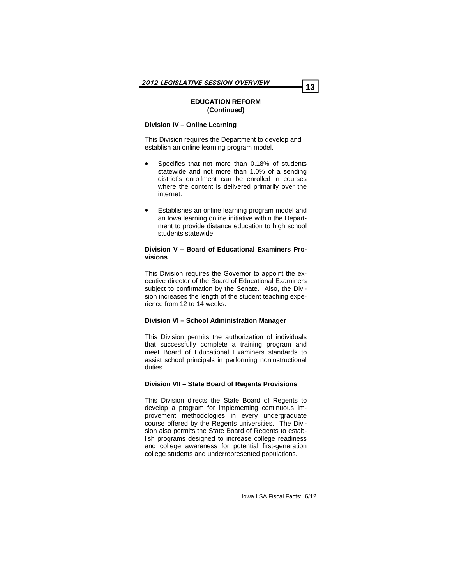#### **Division IV – Online Learning**

This Division requires the Department to develop and establish an online learning program model.

- Specifies that not more than 0.18% of students statewide and not more than 1.0% of a sending district's enrollment can be enrolled in courses where the content is delivered primarily over the internet.
- Establishes an online learning program model and an Iowa learning online initiative within the Department to provide distance education to high school students statewide.

#### **Division V – Board of Educational Examiners Provisions**

This Division requires the Governor to appoint the executive director of the Board of Educational Examiners subject to confirmation by the Senate. Also, the Division increases the length of the student teaching experience from 12 to 14 weeks.

# **Division VI – School Administration Manager**

This Division permits the authorization of individuals that successfully complete a training program and meet Board of Educational Examiners standards to assist school principals in performing noninstructional duties.

#### **Division VII – State Board of Regents Provisions**

This Division directs the State Board of Regents to develop a program for implementing continuous improvement methodologies in every undergraduate course offered by the Regents universities. The Division also permits the State Board of Regents to establish programs designed to increase college readiness and college awareness for potential first-generation college students and underrepresented populations.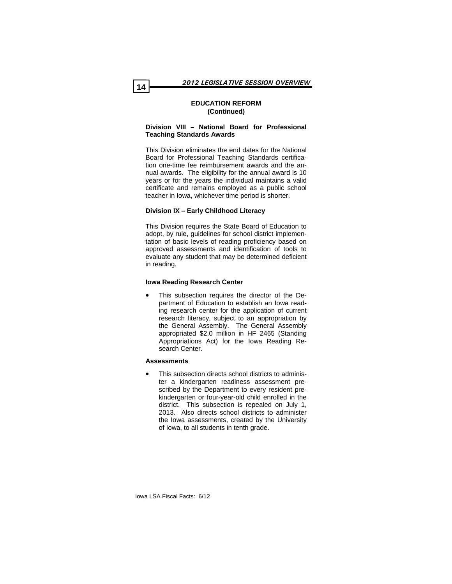#### **Division VIII – National Board for Professional Teaching Standards Awards**

This Division eliminates the end dates for the National Board for Professional Teaching Standards certification one-time fee reimbursement awards and the annual awards. The eligibility for the annual award is 10 years or for the years the individual maintains a valid certificate and remains employed as a public school teacher in Iowa, whichever time period is shorter.

#### **Division IX – Early Childhood Literacy**

This Division requires the State Board of Education to adopt, by rule, guidelines for school district implementation of basic levels of reading proficiency based on approved assessments and identification of tools to evaluate any student that may be determined deficient in reading.

#### **Iowa Reading Research Center**

• This subsection requires the director of the Department of Education to establish an Iowa reading research center for the application of current research literacy, subject to an appropriation by the General Assembly. The General Assembly appropriated \$2.0 million in HF 2465 (Standing Appropriations Act) for the Iowa Reading Research Center.

#### **Assessments**

This subsection directs school districts to administer a kindergarten readiness assessment prescribed by the Department to every resident prekindergarten or four-year-old child enrolled in the district. This subsection is repealed on July 1, 2013. Also directs school districts to administer the Iowa assessments, created by the University of Iowa, to all students in tenth grade.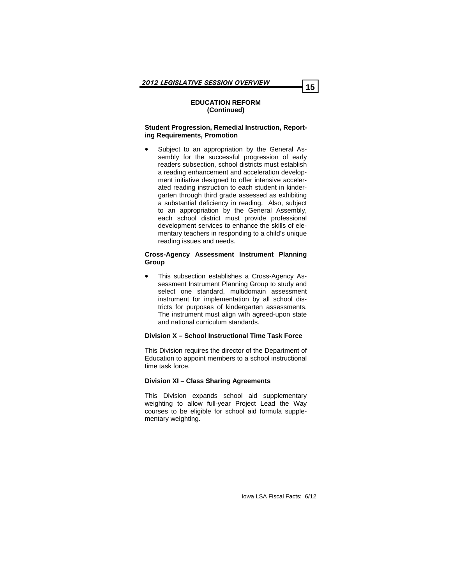#### **Student Progression, Remedial Instruction, Reporting Requirements, Promotion**

Subject to an appropriation by the General Assembly for the successful progression of early readers subsection, school districts must establish a reading enhancement and acceleration development initiative designed to offer intensive accelerated reading instruction to each student in kindergarten through third grade assessed as exhibiting a substantial deficiency in reading. Also, subject to an appropriation by the General Assembly, each school district must provide professional development services to enhance the skills of elementary teachers in responding to a child's unique reading issues and needs.

#### **Cross-Agency Assessment Instrument Planning Group**

• This subsection establishes a Cross-Agency Assessment Instrument Planning Group to study and select one standard, multidomain assessment instrument for implementation by all school districts for purposes of kindergarten assessments. The instrument must align with agreed-upon state and national curriculum standards.

#### **Division X – School Instructional Time Task Force**

This Division requires the director of the Department of Education to appoint members to a school instructional time task force.

#### **Division XI – Class Sharing Agreements**

This Division expands school aid supplementary weighting to allow full-year Project Lead the Way courses to be eligible for school aid formula supplementary weighting.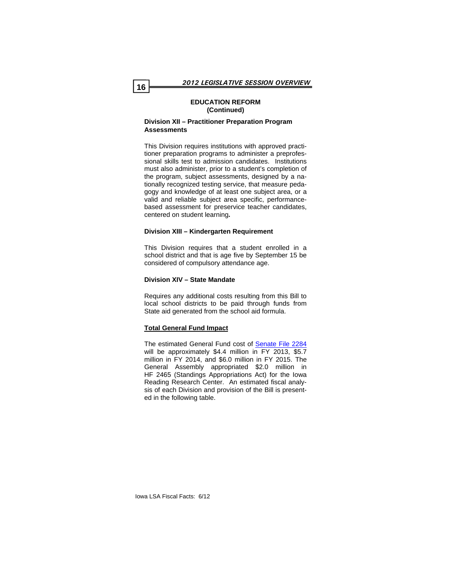#### **Division XII – Practitioner Preparation Program Assessments**

This Division requires institutions with approved practitioner preparation programs to administer a preprofessional skills test to admission candidates. Institutions must also administer, prior to a student's completion of the program, subject assessments, designed by a nationally recognized testing service, that measure pedagogy and knowledge of at least one subject area, or a valid and reliable subject area specific, performancebased assessment for preservice teacher candidates, centered on student learning**.** 

#### **Division XIII – Kindergarten Requirement**

This Division requires that a student enrolled in a school district and that is age five by September 15 be considered of compulsory attendance age.

#### **Division XIV – State Mandate**

Requires any additional costs resulting from this Bill to local school districts to be paid through funds from State aid generated from the school aid formula.

#### **Total General Fund Impact**

The estimated General Fund cost of [Senate File 2284](http://coolice.legis.state.ia.us/Cool-ICE/default.asp?Category=billinfo&Service=Billbook&menu=false&hbill=sf2284) will be approximately \$4.4 million in FY 2013, \$5.7 million in FY 2014, and \$6.0 million in FY 2015. The General Assembly appropriated \$2.0 million in HF 2465 (Standings Appropriations Act) for the Iowa Reading Research Center. An estimated fiscal analysis of each Division and provision of the Bill is presented in the following table.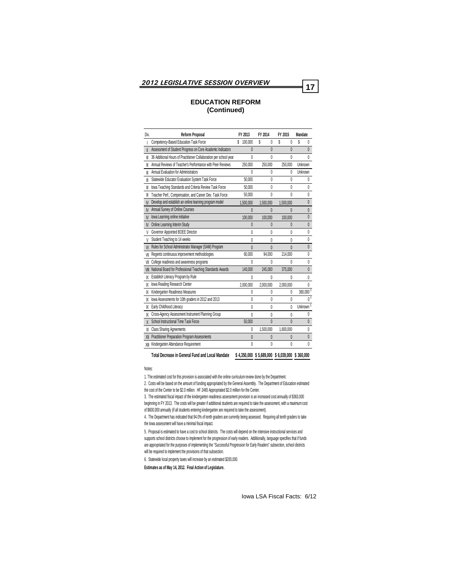| Div.      | <b>Reform Proposal</b>                                            | FY 2013       | FY 2014   | FY 2015      | <b>Mandate</b>       |
|-----------|-------------------------------------------------------------------|---------------|-----------|--------------|----------------------|
|           | Competency-Based Education Task Force                             | \$<br>100,000 | Ŝ<br>0    | \$<br>0      | \$<br>0              |
| I         | Assessment of Student Progress on Core Academic Indicators        | 0             | $\theta$  | $\theta$     | $\mathbf{0}$         |
| ⊪         | 36 Additional Hours of Practitioner Collaboration per school year | $\mathbf{0}$  | $\theta$  | $\theta$     | 0                    |
| ⊪         | Annual Reviews of Teacher's Performance with Peer Reviews         | 250,000       | 250,000   | 250,000      | Unknown              |
| ⊪         | Annual Evaluation for Administrators                              | 0             | 0         | 0            | Unknown              |
| ⊪         | Statewide Educator Evaluation System Task Force                   | 50.000        | 0         | $\theta$     | 0                    |
| ⊪         | lowa Teaching Standards and Criteria Review Task Force            | 50.000        | $\theta$  | 0            | $\mathbf{0}$         |
| ⊪         | Teacher Perf., Compensation, and Career Dev. Task Force           | 50.000        | 0         | 0            | 0                    |
| N         | Develop and establish an online learning program model            | 1,500,000     | 1,500,000 | 1,500,000    | 0                    |
| <b>N</b>  | Annual Survey of Online Courses                                   | $\theta$      | $\theta$  | 0            | $\theta$             |
| M         | lowa Learning online initiative                                   | 100.000       | 100.000   | 100.000      | $\mathbf{0}$         |
| <b>N</b>  | Online Learning Interim Study                                     | $\theta$      | $\theta$  | 0            | $\mathbf{0}$         |
| V         | Governor Appointed BOEE Director                                  | 0             | 0         | 0            | $\mathbf{0}$         |
| V         | Student Teaching to 14 weeks                                      | 0             | 0         | 0            | 0                    |
| <b>VI</b> | Rules for School Administrator Manager (SAM) Program              | $\mathbf{0}$  | $\theta$  | $\theta$     | $\mathbf{0}$         |
| VII       | Regents continuous improvement methodologies                      | 60.000        | 94.000    | 214,000      | 0                    |
| VII       | College readiness and awareness programs                          | ٨             | 0         | 0            | $\theta$             |
| VIII      | National Board for Professional Teaching Standards Awards         | 140.000       | 245.000   | 375,000      | $\theta$             |
| IX        | Establish Literacy Program by Rule                                | $\theta$      | 0         | 0            | $\mathbf{0}$         |
| IX        | Iowa Reading Research Center                                      | 2,000,000     | 2,000,000 | 2,000,000    | 0                    |
| IX        | Kindergarten Readiness Measures                                   | 0             | $\theta$  | 0            | 360,000 <sup>3</sup> |
| IX        | lowa Assessments for 10th graders in 2012 and 2013                | 0             | $\theta$  | $\theta$     | 0 <sup>4</sup>       |
| IX        | Early Childhood Literacy                                          | 0             | 0         | 0            | Unknown <sup>5</sup> |
| IX        | Cross-Agency Assessment Instrument Planning Group                 | $\theta$      | 0         | 0            | $\theta$             |
| X         | School Instructional Time Task Force                              | 50,000        | $\theta$  | $\theta$     | $\theta$             |
| XI        | <b>Class Sharing Agreements</b>                                   | 0             | 1,500,000 | 1,600,000    | 0                    |
| XII       | Practitioner Preparation Program Assessments                      | $\theta$      | $\theta$  | $\mathbf{0}$ | 0                    |
|           | XIII Kindergarten Attendance Requirement                          | 0             | $\theta$  | $\theta$     | $\mathbf{0}$         |

**Total Decrease in General Fund and Local Mandate 4,350,000 \$ 5,689,000 \$ 6,039,000 \$ 360,000 \$** 

Notes:

1. The estimated cost for this provision is associated with the online curriculum review done by the Department.

2. Costs will be based on the amount of funding appropriated by the General Assembly. The Department of Education estimated the cost of the Center to be \$2.0 million. HF 2465 Appropriated \$2.0 million for the Center.

3. The estimated fiscal impact of the kindergarten readiness assessment provision is an increased cost annually of \$363,000 beginning in FY 2013. The costs will be greater if additional students are required to take the assessment, with a maximum cost of \$600,000 annually (if all students entering kindergarten are required to take the assessment).

4. The Department has indicated that 94.0% of tenth graders are currently being assessed. Requiring all tenth graders to take the Iowa assessment will have a minimal fiscal impact.

5. Proposal is estimated to have a cost to school districts. The costs will depend on the intensive instructional services and supports school districts choose to implement for the progression of early readers. Additionally, language specifies that if funds are appropriated for the purposes of implementing the "Successful Progression for Early Readers" subsection, school districts will be required to implement the provisions of that subsection.

6. Statewide local property taxes will increase by an estimated \$200,000.

**Estimates as of May 14, 2012. Final Action of Legislature.**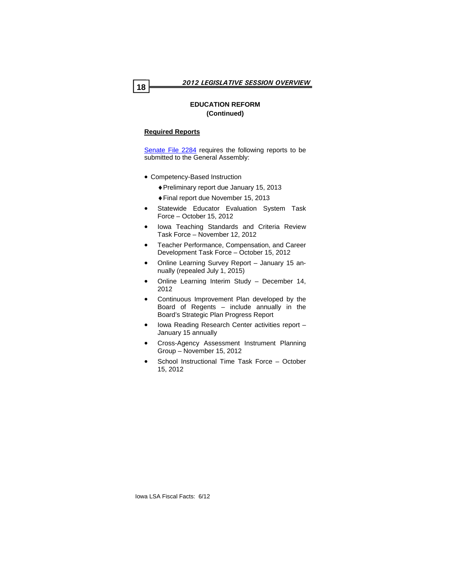# **Required Reports**

[Senate File 2284](http://coolice.legis.state.ia.us/Cool-ICE/default.asp?Category=billinfo&Service=Billbook&menu=false&hbill=sf2284) requires the following reports to be submitted to the General Assembly:

- Competency-Based Instruction
	- ♦Preliminary report due January 15, 2013
	- ♦Final report due November 15, 2013
- Statewide Educator Evaluation System Task Force – October 15, 2012
- Iowa Teaching Standards and Criteria Review Task Force – November 12, 2012
- Teacher Performance, Compensation, and Career Development Task Force – October 15, 2012
- Online Learning Survey Report January 15 annually (repealed July 1, 2015)
- Online Learning Interim Study December 14, 2012
- Continuous Improvement Plan developed by the Board of Regents – include annually in the Board's Strategic Plan Progress Report
- Iowa Reading Research Center activities report January 15 annually
- Cross-Agency Assessment Instrument Planning Group – November 15, 2012
- School Instructional Time Task Force October 15, 2012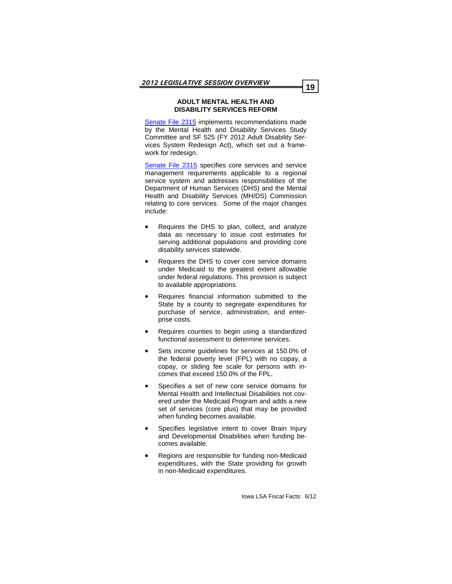#### **ADULT MENTAL HEALTH AND DISABILITY SERVICES REFORM**

[Senate File 2315](http://coolice.legis.state.ia.us/Cool-ICE/default.asp?Category=billinfo&Service=Billbook&menu=false&hbill=sf2315) implements recommendations made by the Mental Health and Disability Services Study Committee and SF 525 (FY 2012 Adult Disability Services System Redesign Act), which set out a framework for redesign.

[Senate File 2315](http://coolice.legis.state.ia.us/Cool-ICE/default.asp?Category=billinfo&Service=Billbook&menu=false&hbill=sf2315) specifies core services and service management requirements applicable to a regional service system and addresses responsibilities of the Department of Human Services (DHS) and the Mental Health and Disability Services (MH/DS) Commission relating to core services. Some of the major changes include:

- Requires the DHS to plan, collect, and analyze data as necessary to issue cost estimates for serving additional populations and providing core disability services statewide.
- Requires the DHS to cover core service domains under Medicaid to the greatest extent allowable under federal regulations. This provision is subject to available appropriations.
- Requires financial information submitted to the State by a county to segregate expenditures for purchase of service, administration, and enterprise costs.
- Requires counties to begin using a standardized functional assessment to determine services.
- Sets income guidelines for services at 150.0% of the federal poverty level (FPL) with no copay, a copay, or sliding fee scale for persons with incomes that exceed 150.0% of the FPL.
- Specifies a set of new core service domains for Mental Health and Intellectual Disabilities not covered under the Medicaid Program and adds a new set of services (core plus) that may be provided when funding becomes available.
- Specifies legislative intent to cover Brain Injury and Developmental Disabilities when funding becomes available.
- Regions are responsible for funding non-Medicaid expenditures, with the State providing for growth in non-Medicaid expenditures.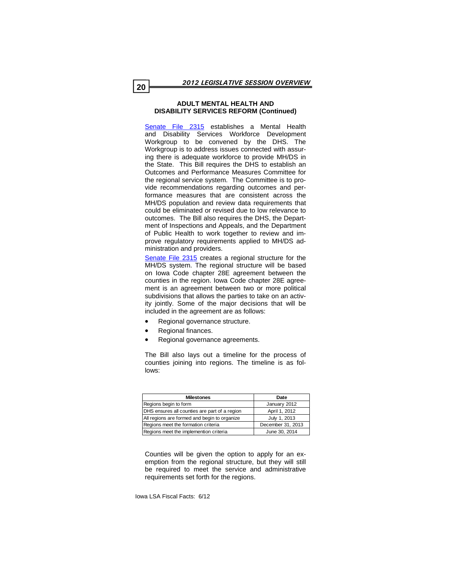#### **ADULT MENTAL HEALTH AND DISABILITY SERVICES REFORM (Continued)**

[Senate File 2315](http://coolice.legis.state.ia.us/Cool-ICE/default.asp?Category=billinfo&Service=Billbook&menu=false&hbill=sf2315) establishes a Mental Health and Disability Services Workforce Development Workgroup to be convened by the DHS. The Workgroup is to address issues connected with assuring there is adequate workforce to provide MH/DS in the State. This Bill requires the DHS to establish an Outcomes and Performance Measures Committee for the regional service system. The Committee is to provide recommendations regarding outcomes and performance measures that are consistent across the MH/DS population and review data requirements that could be eliminated or revised due to low relevance to outcomes. The Bill also requires the DHS, the Department of Inspections and Appeals, and the Department of Public Health to work together to review and improve regulatory requirements applied to MH/DS administration and providers.

[Senate File 2315](http://coolice.legis.state.ia.us/Cool-ICE/default.asp?Category=billinfo&Service=Billbook&menu=false&hbill=sf2315) creates a regional structure for the MH/DS system. The regional structure will be based on Iowa Code chapter 28E agreement between the counties in the region. Iowa Code chapter 28E agreement is an agreement between two or more political subdivisions that allows the parties to take on an activity jointly. Some of the major decisions that will be included in the agreement are as follows:

- Regional governance structure.
- Regional finances.
- Regional governance agreements.

The Bill also lays out a timeline for the process of counties joining into regions. The timeline is as follows:

| <b>Milestones</b>                             | Date              |
|-----------------------------------------------|-------------------|
| Regions begin to form                         | January 2012      |
| DHS ensures all counties are part of a region | April 1, 2012     |
| All regions are formed and begin to organize  | July 1, 2013      |
| Regions meet the formation criteria           | December 31, 2013 |
| Regions meet the implemention criteria        | June 30, 2014     |

Counties will be given the option to apply for an exemption from the regional structure, but they will still be required to meet the service and administrative requirements set forth for the regions.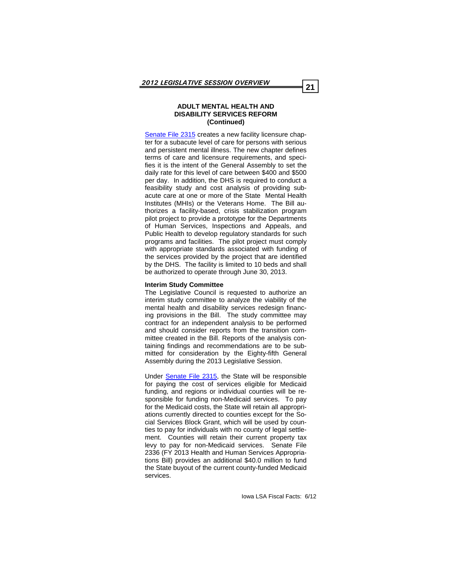#### **ADULT MENTAL HEALTH AND DISABILITY SERVICES REFORM (Continued)**

[Senate File 2315](http://coolice.legis.state.ia.us/Cool-ICE/default.asp?Category=billinfo&Service=Billbook&menu=false&hbill=sf2315) creates a new facility licensure chapter for a subacute level of care for persons with serious and persistent mental illness. The new chapter defines terms of care and licensure requirements, and specifies it is the intent of the General Assembly to set the daily rate for this level of care between \$400 and \$500 per day. In addition, the DHS is required to conduct a feasibility study and cost analysis of providing subacute care at one or more of the State Mental Health Institutes (MHIs) or the Veterans Home. The Bill authorizes a facility-based, crisis stabilization program pilot project to provide a prototype for the Departments of Human Services, Inspections and Appeals, and Public Health to develop regulatory standards for such programs and facilities. The pilot project must comply with appropriate standards associated with funding of the services provided by the project that are identified by the DHS. The facility is limited to 10 beds and shall be authorized to operate through June 30, 2013.

#### **Interim Study Committee**

The Legislative Council is requested to authorize an interim study committee to analyze the viability of the mental health and disability services redesign financing provisions in the Bill. The study committee may contract for an independent analysis to be performed and should consider reports from the transition committee created in the Bill. Reports of the analysis containing findings and recommendations are to be submitted for consideration by the Eighty-fifth General Assembly during the 2013 Legislative Session.

Under [Senate File 2315,](http://coolice.legis.state.ia.us/Cool-ICE/default.asp?Category=billinfo&Service=Billbook&menu=false&hbill=sf2315) the State will be responsible for paying the cost of services eligible for Medicaid funding, and regions or individual counties will be responsible for funding non-Medicaid services. To pay for the Medicaid costs, the State will retain all appropriations currently directed to counties except for the Social Services Block Grant, which will be used by counties to pay for individuals with no county of legal settlement. Counties will retain their current property tax levy to pay for non-Medicaid services. Senate File 2336 (FY 2013 Health and Human Services Appropriations Bill) provides an additional \$40.0 million to fund the State buyout of the current county-funded Medicaid services.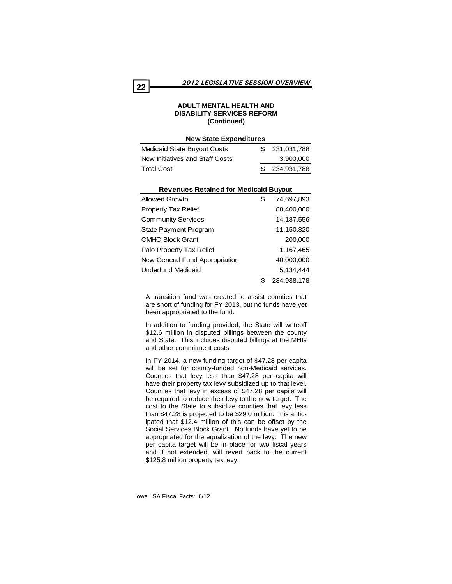# **ADULT MENTAL HEALTH AND DISABILITY SERVICES REFORM (Continued)**

#### **New State Expenditures**

| Medicaid State Buyout Costs     | \$ 231,031,788 |
|---------------------------------|----------------|
| New Initiatives and Staff Costs | 3.900.000      |
| <b>Total Cost</b>               | \$234,931,788  |

| <b>Revenues Retained for Medicaid Buyout</b> |   |             |  |  |  |
|----------------------------------------------|---|-------------|--|--|--|
| Allowed Growth                               | S | 74,697,893  |  |  |  |
| <b>Property Tax Relief</b>                   |   | 88,400,000  |  |  |  |
| <b>Community Services</b>                    |   | 14,187,556  |  |  |  |
| State Payment Program                        |   | 11,150,820  |  |  |  |
| <b>CMHC Block Grant</b>                      |   | 200,000     |  |  |  |
| Palo Property Tax Relief                     |   | 1,167,465   |  |  |  |
| New General Fund Appropriation               |   | 40,000,000  |  |  |  |
| Underfund Medicaid                           |   | 5.134.444   |  |  |  |
|                                              |   | 234,938,178 |  |  |  |

A transition fund was created to assist counties that are short of funding for FY 2013, but no funds have yet been appropriated to the fund.

In addition to funding provided, the State will writeoff \$12.6 million in disputed billings between the county and State. This includes disputed billings at the MHIs and other commitment costs.

In FY 2014, a new funding target of \$47.28 per capita will be set for county-funded non-Medicaid services. Counties that levy less than \$47.28 per capita will have their property tax levy subsidized up to that level. Counties that levy in excess of \$47.28 per capita will be required to reduce their levy to the new target. The cost to the State to subsidize counties that levy less than \$47.28 is projected to be \$29.0 million. It is anticipated that \$12.4 million of this can be offset by the Social Services Block Grant. No funds have yet to be appropriated for the equalization of the levy. The new per capita target will be in place for two fiscal years and if not extended, will revert back to the current \$125.8 million property tax levy.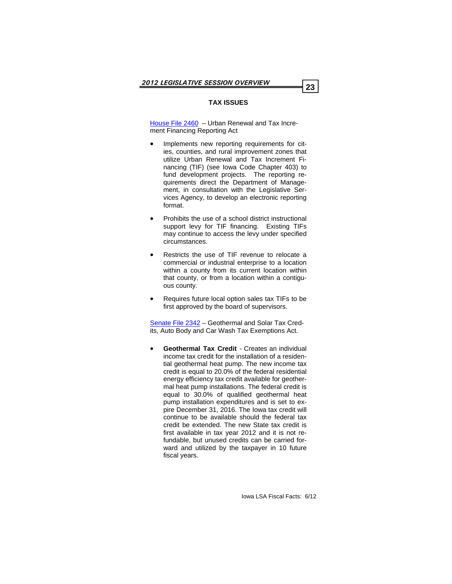# **TAX ISSUES**

[House File 2460](http://coolice.legis.state.ia.us/Cool-ICE/default.asp?Category=billinfo&Service=Billbook&menu=false&ga=84&hbill=HF2460) – Urban Renewal and Tax Increment Financing Reporting Act

- Implements new reporting requirements for cities, counties, and rural improvement zones that utilize Urban Renewal and Tax Increment Financing (TIF) (see Iowa Code Chapter 403) to fund development projects. The reporting requirements direct the Department of Management, in consultation with the Legislative Services Agency, to develop an electronic reporting format.
- Prohibits the use of a school district instructional support levy for TIF financing. Existing TIFs may continue to access the levy under specified circumstances.
- Restricts the use of TIF revenue to relocate a commercial or industrial enterprise to a location within a county from its current location within that county, or from a location within a contiguous county.
- Requires future local option sales tax TIFs to be first approved by the board of supervisors.

[Senate File 2342](http://coolice.legis.state.ia.us/Cool-ICE/default.asp?Category=billinfo&Service=Billbook&menu=false&ga=84&hbill=SF2342) – Geothermal and Solar Tax Credits, Auto Body and Car Wash Tax Exemptions Act.

• **Geothermal Tax Credit** - Creates an individual income tax credit for the installation of a residential geothermal heat pump. The new income tax credit is equal to 20.0% of the federal residential energy efficiency tax credit available for geothermal heat pump installations. The federal credit is equal to 30.0% of qualified geothermal heat pump installation expenditures and is set to expire December 31, 2016. The Iowa tax credit will continue to be available should the federal tax credit be extended. The new State tax credit is first available in tax year 2012 and it is not refundable, but unused credits can be carried forward and utilized by the taxpayer in 10 future fiscal years.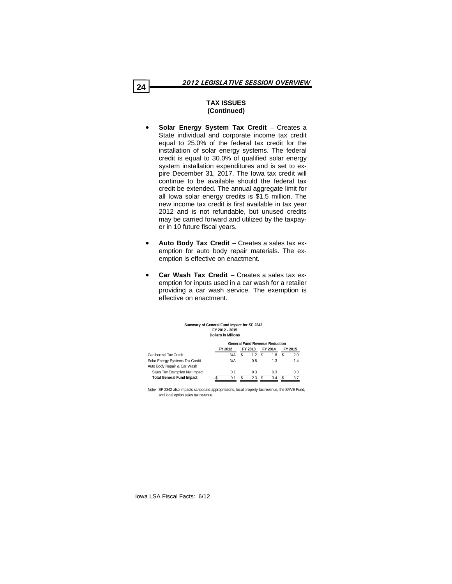# **TAX ISSUES (Continued)**

- **Solar Energy System Tax Credit**  Creates a State individual and corporate income tax credit equal to 25.0% of the federal tax credit for the installation of solar energy systems. The federal credit is equal to 30.0% of qualified solar energy system installation expenditures and is set to expire December 31, 2017. The Iowa tax credit will continue to be available should the federal tax credit be extended. The annual aggregate limit for all Iowa solar energy credits is \$1.5 million. The new income tax credit is first available in tax year 2012 and is not refundable, but unused credits may be carried forward and utilized by the taxpayer in 10 future fiscal years.
- **Auto Body Tax Credit**  Creates a sales tax exemption for auto body repair materials. The exemption is effective on enactment.
- **Car Wash Tax Credit**  Creates a sales tax exemption for inputs used in a car wash for a retailer providing a car wash service. The exemption is effective on enactment.

| Summary of General Fund Impact for SF 2342 |
|--------------------------------------------|
| FY 2012 - 2015                             |
| <b>Dollars in Millions</b>                 |

|                                  | <b>General Fund Revenue Reduction</b> |            |         |     |         |     |         |     |  |
|----------------------------------|---------------------------------------|------------|---------|-----|---------|-----|---------|-----|--|
|                                  | FY 2012                               |            | FY 2013 |     | FY 2014 |     | FY 2015 |     |  |
| Geothermal Tax Credit            |                                       | <b>N/A</b> |         | 1.2 |         | 1.8 |         | 2.0 |  |
| Solar Energy Systems Tax Credit  |                                       | <b>N/A</b> |         | 0.8 |         | 1.3 |         | 1.4 |  |
| Auto Body Repair & Car Wash      |                                       |            |         |     |         |     |         |     |  |
| Sales Tax Exemption Net Impact   |                                       | 0.1        |         | 0.3 |         | 0.3 |         | 0.3 |  |
| <b>Total General Fund Impact</b> |                                       | 0.1        |         | 2.3 | S       | 3.4 |         | 3.7 |  |

Note**:** SF 2342 also impacts school aid appropriations, local property tax revenue, the SAVE Fund, and local option sales tax revenue.

Iowa LSA Fiscal Facts: 6/12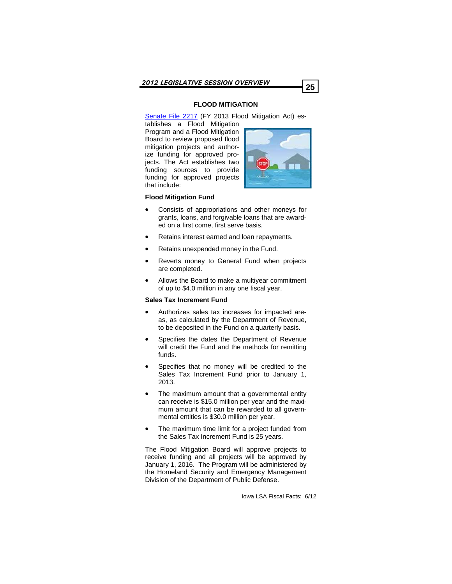# **FLOOD MITIGATION**

[Senate File 2217](http://coolice.legis.state.ia.us/Cool-ICE/default.asp?Category=billinfo&Service=Billbook&menu=false&ga=84&hbill=SF2217) (FY 2013 Flood Mitigation Act) es-

tablishes a Flood Mitigation Program and a Flood Mitigation Board to review proposed flood mitigation projects and authorize funding for approved projects. The Act establishes two funding sources to provide funding for approved projects that include:



# **Flood Mitigation Fund**

- Consists of appropriations and other moneys for grants, loans, and forgivable loans that are awarded on a first come, first serve basis.
- Retains interest earned and loan repayments.
- Retains unexpended money in the Fund.
- Reverts money to General Fund when projects are completed.
- Allows the Board to make a multiyear commitment of up to \$4.0 million in any one fiscal year.

#### **Sales Tax Increment Fund**

- Authorizes sales tax increases for impacted areas, as calculated by the Department of Revenue, to be deposited in the Fund on a quarterly basis.
- Specifies the dates the Department of Revenue will credit the Fund and the methods for remitting funds.
- Specifies that no money will be credited to the Sales Tax Increment Fund prior to January 1, 2013.
- The maximum amount that a governmental entity can receive is \$15.0 million per year and the maximum amount that can be rewarded to all governmental entities is \$30.0 million per year.
- The maximum time limit for a project funded from the Sales Tax Increment Fund is 25 years.

The Flood Mitigation Board will approve projects to receive funding and all projects will be approved by January 1, 2016. The Program will be administered by the Homeland Security and Emergency Management Division of the Department of Public Defense.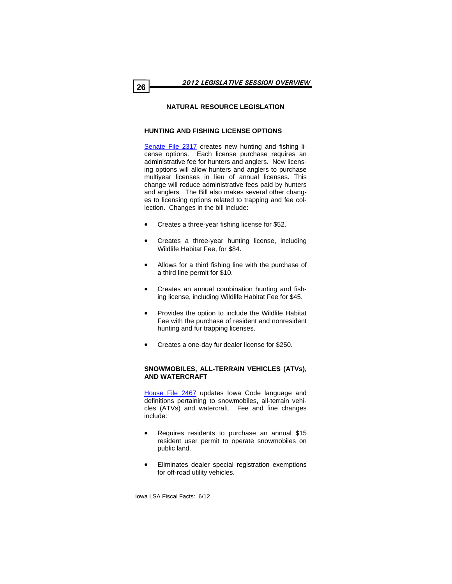# **NATURAL RESOURCE LEGISLATION**

# **HUNTING AND FISHING LICENSE OPTIONS**

[Senate File 2317](http://coolice.legis.state.ia.us/Cool-ICE/default.asp?Category=billinfo&Service=Billbook&menu=false&ga=84&hbill=SF2317) creates new hunting and fishing license options. Each license purchase requires an administrative fee for hunters and anglers. New licensing options will allow hunters and anglers to purchase multiyear licenses in lieu of annual licenses. This change will reduce administrative fees paid by hunters and anglers. The Bill also makes several other changes to licensing options related to trapping and fee collection. Changes in the bill include:

- Creates a three-year fishing license for \$52.
- Creates a three-year hunting license, including Wildlife Habitat Fee, for \$84.
- Allows for a third fishing line with the purchase of a third line permit for \$10.
- Creates an annual combination hunting and fishing license, including Wildlife Habitat Fee for \$45.
- Provides the option to include the Wildlife Habitat Fee with the purchase of resident and nonresident hunting and fur trapping licenses.
- Creates a one-day fur dealer license for \$250.

#### **SNOWMOBILES, ALL-TERRAIN VEHICLES (ATVs), AND WATERCRAFT**

[House File 2467](http://coolice.legis.state.ia.us/Cool-ICE/default.asp?Category=billinfo&Service=Billbook&menu=false&ga=84&hbill=HF2467) updates Iowa Code language and definitions pertaining to snowmobiles, all-terrain vehicles (ATVs) and watercraft. Fee and fine changes include:

- Requires residents to purchase an annual \$15 resident user permit to operate snowmobiles on public land.
- Eliminates dealer special registration exemptions for off-road utility vehicles.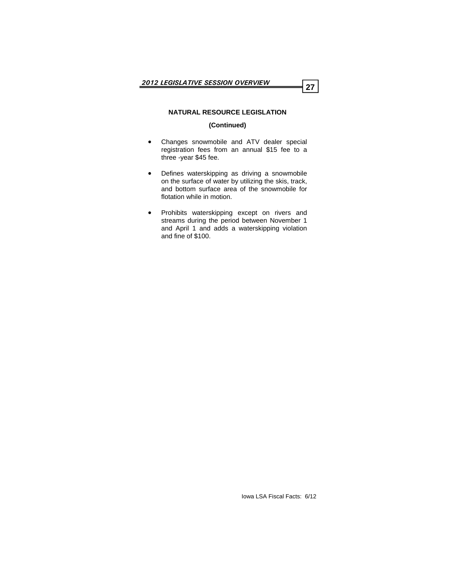# **NATURAL RESOURCE LEGISLATION**

# **(Continued)**

- Changes snowmobile and ATV dealer special registration fees from an annual \$15 fee to a three -year \$45 fee.
- Defines waterskipping as driving a snowmobile on the surface of water by utilizing the skis, track, and bottom surface area of the snowmobile for flotation while in motion.
- Prohibits waterskipping except on rivers and streams during the period between November 1 and April 1 and adds a waterskipping violation and fine of \$100.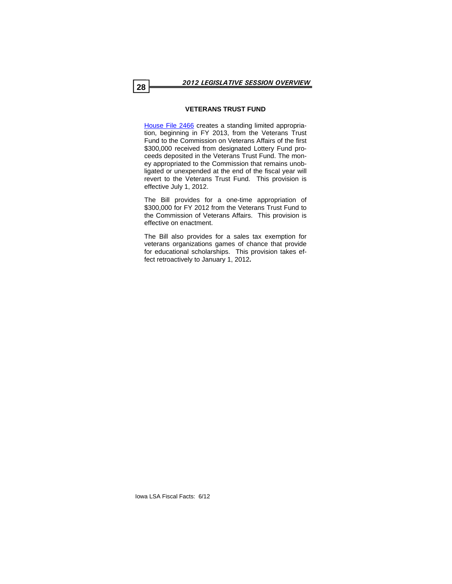#### **VETERANS TRUST FUND**

[House File 2466](http://coolice.legis.state.ia.us/Cool-ICE/default.asp?Category=billinfo&Service=Billbook&menu=false&ga=84&hbill=HF2466) creates a standing limited appropriation, beginning in FY 2013, from the Veterans Trust Fund to the Commission on Veterans Affairs of the first \$300,000 received from designated Lottery Fund proceeds deposited in the Veterans Trust Fund. The money appropriated to the Commission that remains unobligated or unexpended at the end of the fiscal year will revert to the Veterans Trust Fund. This provision is effective July 1, 2012.

The Bill provides for a one-time appropriation of \$300,000 for FY 2012 from the Veterans Trust Fund to the Commission of Veterans Affairs. This provision is effective on enactment.

The Bill also provides for a sales tax exemption for veterans organizations games of chance that provide for educational scholarships. This provision takes effect retroactively to January 1, 2012**.**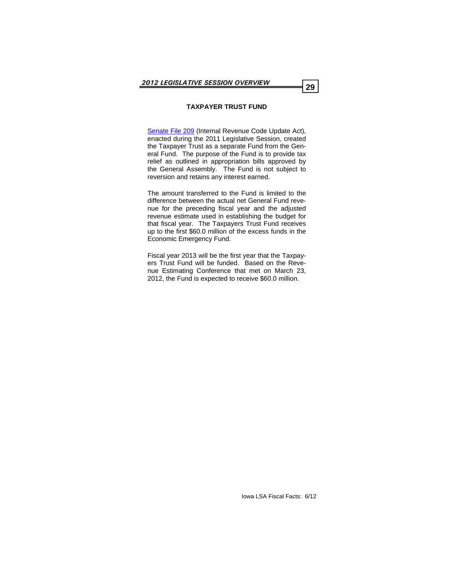# **TAXPAYER TRUST FUND**

[Senate File 209](http://coolice.legis.state.ia.us/Cool-ICE/default.asp?Category=billinfo&Service=Billbook&menu=false&ga=84&hbill=SF209) (Internal Revenue Code Update Act), enacted during the 2011 Legislative Session, created the Taxpayer Trust as a separate Fund from the General Fund. The purpose of the Fund is to provide tax relief as outlined in appropriation bills approved by the General Assembly. The Fund is not subject to reversion and retains any interest earned.

The amount transferred to the Fund is limited to the difference between the actual net General Fund revenue for the preceding fiscal year and the adjusted revenue estimate used in establishing the budget for that fiscal year. The Taxpayers Trust Fund receives up to the first \$60.0 million of the excess funds in the Economic Emergency Fund.

Fiscal year 2013 will be the first year that the Taxpayers Trust Fund will be funded. Based on the Revenue Estimating Conference that met on March 23, 2012, the Fund is expected to receive \$60.0 million.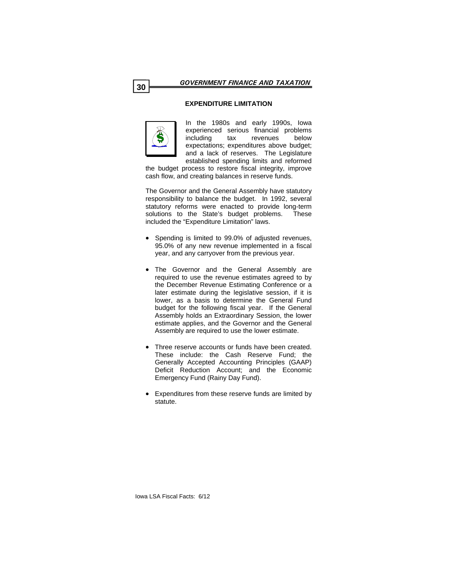# **EXPENDITURE LIMITATION**



In the 1980s and early 1990s, Iowa experienced serious financial problems including tax revenues below expectations; expenditures above budget; and a lack of reserves. The Legislature established spending limits and reformed

the budget process to restore fiscal integrity, improve cash flow, and creating balances in reserve funds.

The Governor and the General Assembly have statutory responsibility to balance the budget. In 1992, several statutory reforms were enacted to provide long-term solutions to the State's budget problems. These included the "Expenditure Limitation" laws.

- Spending is limited to 99.0% of adjusted revenues, 95.0% of any new revenue implemented in a fiscal year, and any carryover from the previous year.
- The Governor and the General Assembly are required to use the revenue estimates agreed to by the December Revenue Estimating Conference or a later estimate during the legislative session, if it is lower, as a basis to determine the General Fund budget for the following fiscal year. If the General Assembly holds an Extraordinary Session, the lower estimate applies, and the Governor and the General Assembly are required to use the lower estimate.
- Three reserve accounts or funds have been created. These include: the Cash Reserve Fund; the Generally Accepted Accounting Principles (GAAP) Deficit Reduction Account; and the Economic Emergency Fund (Rainy Day Fund).
- Expenditures from these reserve funds are limited by statute.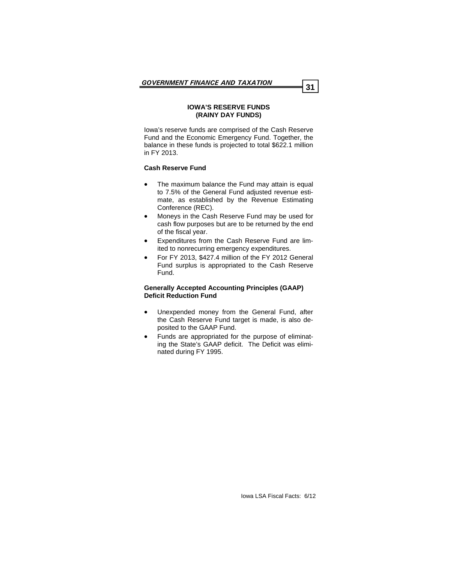#### **IOWA'S RESERVE FUNDS (RAINY DAY FUNDS)**

Iowa's reserve funds are comprised of the Cash Reserve Fund and the Economic Emergency Fund. Together, the balance in these funds is projected to total \$622.1 million in FY 2013.

#### **Cash Reserve Fund**

- The maximum balance the Fund may attain is equal to 7.5% of the General Fund adjusted revenue estimate, as established by the Revenue Estimating Conference (REC).
- Moneys in the Cash Reserve Fund may be used for cash flow purposes but are to be returned by the end of the fiscal year.
- Expenditures from the Cash Reserve Fund are limited to nonrecurring emergency expenditures.
- For FY 2013, \$427.4 million of the FY 2012 General Fund surplus is appropriated to the Cash Reserve Fund.

#### **Generally Accepted Accounting Principles (GAAP) Deficit Reduction Fund**

- Unexpended money from the General Fund, after the Cash Reserve Fund target is made, is also deposited to the GAAP Fund.
- Funds are appropriated for the purpose of eliminating the State's GAAP deficit. The Deficit was eliminated during FY 1995.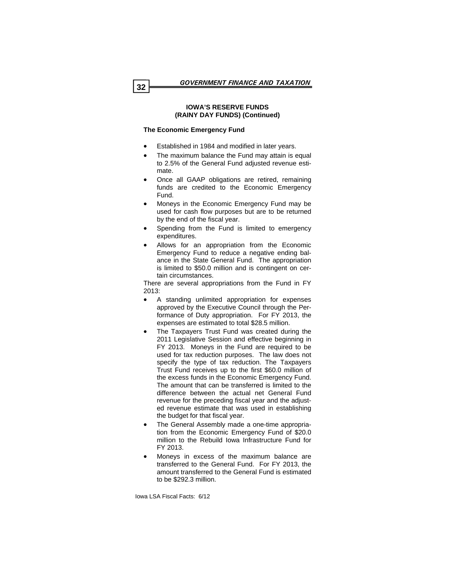# **IOWA'S RESERVE FUNDS (RAINY DAY FUNDS) (Continued)**

# **The Economic Emergency Fund**

- Established in 1984 and modified in later years.
- The maximum balance the Fund may attain is equal to 2.5% of the General Fund adjusted revenue estimate.
- Once all GAAP obligations are retired, remaining funds are credited to the Economic Emergency Fund.
- Moneys in the Economic Emergency Fund may be used for cash flow purposes but are to be returned by the end of the fiscal year.
- Spending from the Fund is limited to emergency expenditures.
- Allows for an appropriation from the Economic Emergency Fund to reduce a negative ending balance in the State General Fund. The appropriation is limited to \$50.0 million and is contingent on certain circumstances.

There are several appropriations from the Fund in FY 2013:

- A standing unlimited appropriation for expenses approved by the Executive Council through the Performance of Duty appropriation. For FY 2013, the expenses are estimated to total \$28.5 million.
- The Taxpayers Trust Fund was created during the 2011 Legislative Session and effective beginning in FY 2013. Moneys in the Fund are required to be used for tax reduction purposes. The law does not specify the type of tax reduction. The Taxpayers Trust Fund receives up to the first \$60.0 million of the excess funds in the Economic Emergency Fund. The amount that can be transferred is limited to the difference between the actual net General Fund revenue for the preceding fiscal year and the adjusted revenue estimate that was used in establishing the budget for that fiscal year.
- The General Assembly made a one-time appropriation from the Economic Emergency Fund of \$20.0 million to the Rebuild Iowa Infrastructure Fund for FY 2013.
- Moneys in excess of the maximum balance are transferred to the General Fund. For FY 2013, the amount transferred to the General Fund is estimated to be \$292.3 million.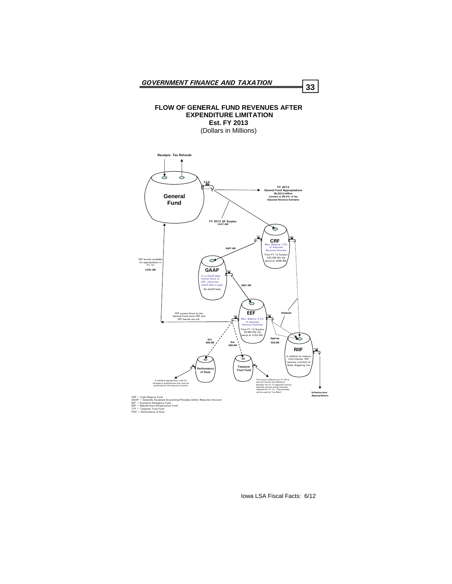#### **FLOW OF GENERAL FUND REVENUES AFTER EXPENDITURE LIMITATION Est. FY 2013**

(Dollars in Millions)



- 
-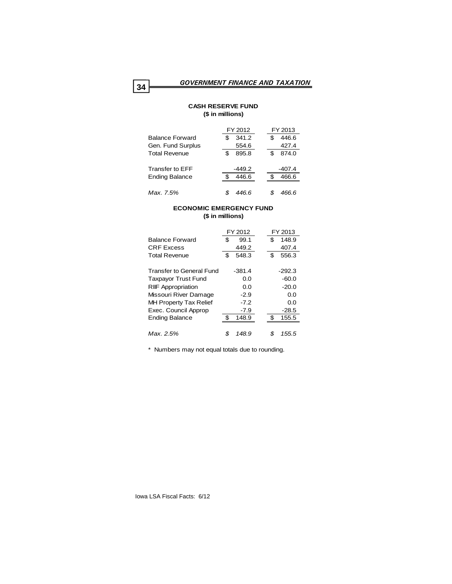## **CASH RESERVE FUND (\$ in millions)**

|                        | FY 2012      | FY 2013     |
|------------------------|--------------|-------------|
| <b>Balance Forward</b> | 341.2        | 446.6<br>\$ |
| Gen. Fund Surplus      | 554.6        | 427.4       |
| <b>Total Revenue</b>   | 895.8<br>\$. | 874.0<br>\$ |
| Transfer to EFF        | $-449.2$     | $-407.4$    |
| <b>Ending Balance</b>  | 446.6        | 466.6       |
| Max. 7.5%              | 446.6        | 466.6       |

# **ECONOMIC EMERGENCY FUND (\$ in millions)**

|                                 | FY 2012 |          |     | FY 2013  |
|---------------------------------|---------|----------|-----|----------|
| <b>Balance Forward</b>          | \$      | 99.1     | \$  | 148.9    |
| <b>CRF Excess</b>               |         | 449.2    |     | 407.4    |
| <b>Total Revenue</b>            | \$      | 548.3    | \$  | 556.3    |
|                                 |         |          |     |          |
| <b>Transfer to General Fund</b> |         | $-381.4$ |     | $-292.3$ |
| <b>Taxpayor Trust Fund</b>      |         | 0.0      |     | $-60.0$  |
| <b>RIF Appropriation</b>        |         | 0.0      |     | $-20.0$  |
| Missouri River Damage           |         | $-2.9$   |     | 0.0      |
| <b>MH Property Tax Relief</b>   |         | $-7.2$   |     | 0.0      |
| Exec. Council Approp            |         | $-7.9$   |     | $-28.5$  |
| <b>Ending Balance</b>           | \$.     | 148.9    | \$. | 155.5    |
|                                 |         |          |     |          |
| Max. 2.5%                       |         | 148.9    |     | 155.5    |

\* Numbers may not equal totals due to rounding.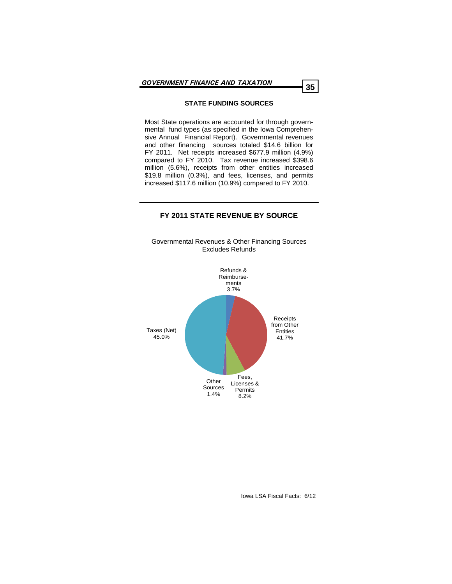# **STATE FUNDING SOURCES**

Most State operations are accounted for through governmental fund types (as specified in the Iowa Comprehensive Annual Financial Report). Governmental revenues and other financing sources totaled \$14.6 billion for FY 2011. Net receipts increased \$677.9 million (4.9%) compared to FY 2010. Tax revenue increased \$398.6 million (5.6%), receipts from other entities increased \$19.8 million (0.3%), and fees, licenses, and permits increased \$117.6 million (10.9%) compared to FY 2010.

# **FY 2011 STATE REVENUE BY SOURCE**

Governmental Revenues & Other Financing Sources Excludes Refunds

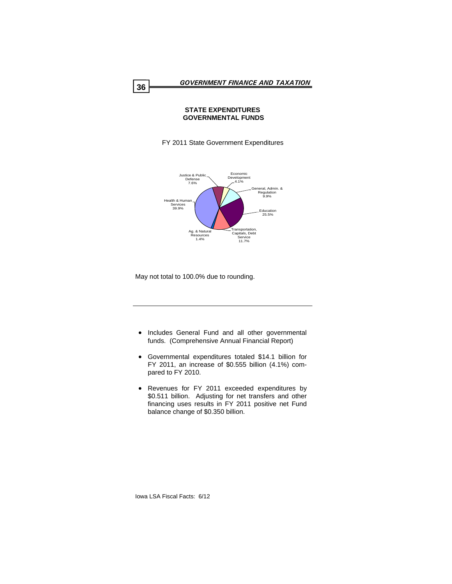# **STATE EXPENDITURES GOVERNMENTAL FUNDS**

FY 2011 State Government Expenditures



May not total to 100.0% due to rounding.

- Includes General Fund and all other governmental funds. (Comprehensive Annual Financial Report)
- Governmental expenditures totaled \$14.1 billion for FY 2011, an increase of \$0.555 billion (4.1%) compared to FY 2010.
- Revenues for FY 2011 exceeded expenditures by \$0.511 billion. Adjusting for net transfers and other financing uses results in FY 2011 positive net Fund balance change of \$0.350 billion.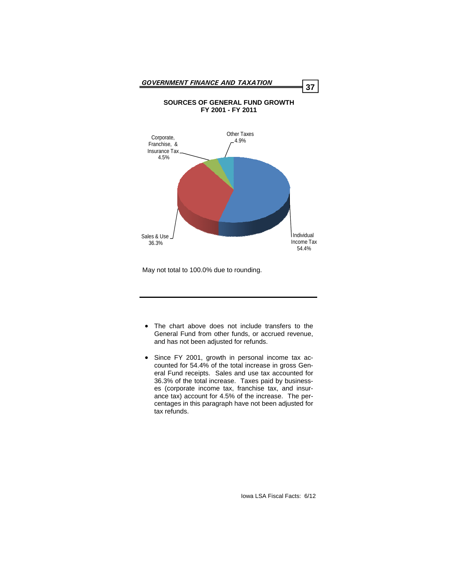

May not total to 100.0% due to rounding.

- The chart above does not include transfers to the General Fund from other funds, or accrued revenue, and has not been adjusted for refunds.
- Since FY 2001, growth in personal income tax accounted for 54.4% of the total increase in gross General Fund receipts. Sales and use tax accounted for 36.3% of the total increase. Taxes paid by businesses (corporate income tax, franchise tax, and insurance tax) account for 4.5% of the increase. The percentages in this paragraph have not been adjusted for tax refunds.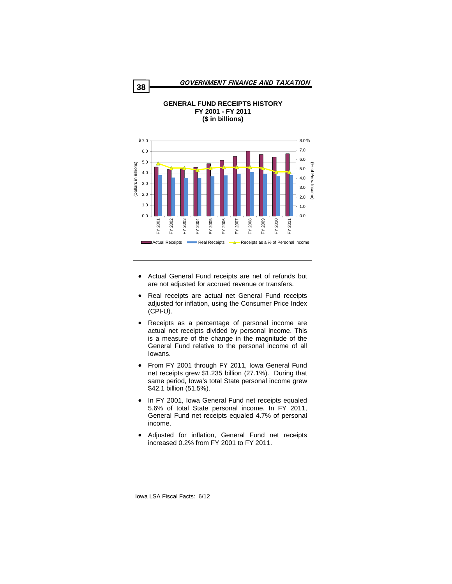



**GENERAL FUND RECEIPTS HISTORY** 

- Actual General Fund receipts are net of refunds but are not adjusted for accrued revenue or transfers.
- Real receipts are actual net General Fund receipts adjusted for inflation, using the Consumer Price Index (CPI-U).
- Receipts as a percentage of personal income are actual net receipts divided by personal income. This is a measure of the change in the magnitude of the General Fund relative to the personal income of all Iowans.
- From FY 2001 through FY 2011, Iowa General Fund net receipts grew \$1.235 billion (27.1%). During that same period, Iowa's total State personal income grew \$42.1 billion (51.5%).
- In FY 2001, Iowa General Fund net receipts equaled 5.6% of total State personal income. In FY 2011, General Fund net receipts equaled 4.7% of personal income.
- Adjusted for inflation, General Fund net receipts increased 0.2% from FY 2001 to FY 2011.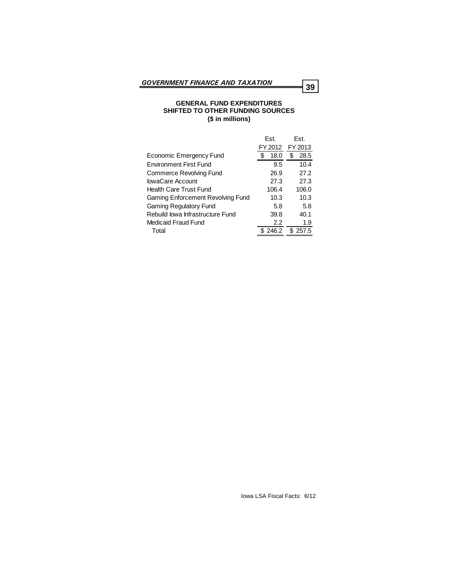## **GENERAL FUND EXPENDITURES SHIFTED TO OTHER FUNDING SOURCES (\$ in millions)**

|                                   | Est.    | Est.       |
|-----------------------------------|---------|------------|
|                                   | FY 2012 | FY 2013    |
| Economic Emergency Fund           | 18.0    | \$<br>28.5 |
| <b>Environment First Fund</b>     | 9.5     | 10.4       |
| Commerce Revolving Fund           | 26.9    | 27.2       |
| lowaCare Account                  | 27.3    | 27.3       |
| <b>Health Care Trust Fund</b>     | 106.4   | 106.0      |
| Gaming Enforcement Revolving Fund | 10.3    | 10.3       |
| <b>Gaming Regulatory Fund</b>     | 5.8     | 5.8        |
| Rebuild lowa Infrastructure Fund  | 39.8    | 40.1       |
| Medicaid Fraud Fund               | 2.2     | 1.9        |
| Total                             | \$246.2 | \$257.5    |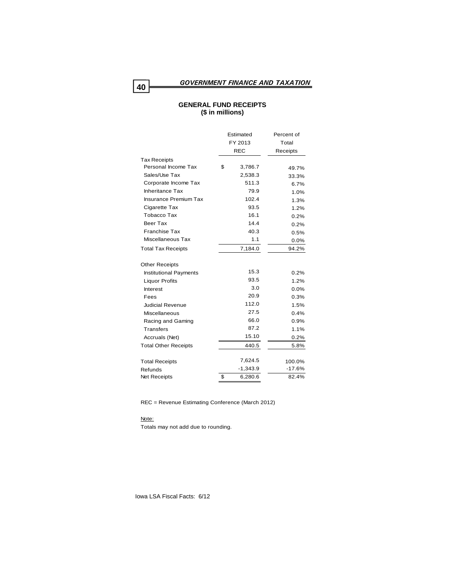# **GENERAL FUND RECEIPTS (\$ in millions)**

|                               | Estimated<br>FY 2013<br><b>REC</b> | Percent of<br>Total<br>Receipts |
|-------------------------------|------------------------------------|---------------------------------|
| <b>Tax Receipts</b>           |                                    |                                 |
| Personal Income Tax           | \$<br>3,786.7                      | 49.7%                           |
| Sales/Use Tax                 | 2,538.3                            | 33.3%                           |
| Corporate Income Tax          | 511.3                              | 6.7%                            |
| <b>Inheritance Tax</b>        | 79.9                               | 1.0%                            |
| <b>Insurance Premium Tax</b>  | 102.4                              | 1.3%                            |
| Cigarette Tax                 | 93.5                               | 1.2%                            |
| Tobacco Tax                   | 16.1                               | 0.2%                            |
| Beer Tax                      | 14.4                               | 0.2%                            |
| <b>Franchise Tax</b>          | 40.3                               | 0.5%                            |
| Miscellaneous Tax             | 1.1                                | $0.0\%$                         |
| <b>Total Tax Receipts</b>     | 7,184.0                            | 94.2%                           |
| <b>Other Receipts</b>         |                                    |                                 |
| <b>Institutional Payments</b> | 15.3                               | 0.2%                            |
| <b>Liquor Profits</b>         | 93.5                               | 1.2%                            |
| Interest                      | 3.0                                | 0.0%                            |
| Fees                          | 20.9                               | 0.3%                            |
| Judicial Revenue              | 112.0                              | 1.5%                            |
| Miscellaneous                 | 27.5                               | 0.4%                            |
| Racing and Gaming             | 66.0                               | 0.9%                            |
| Transfers                     | 87.2                               | 1.1%                            |
| Accruals (Net)                | 15.10                              | 0.2%                            |
| <b>Total Other Receipts</b>   | 440.5                              | 5.8%                            |
| <b>Total Receipts</b>         | 7,624.5                            | 100.0%                          |
| Refunds                       | $-1,343.9$                         | $-17.6%$                        |
| Net Receipts                  | \$<br>6,280.6                      | 82.4%                           |

REC = Revenue Estimating Conference (March 2012)

#### Note:

Totals may not add due to rounding.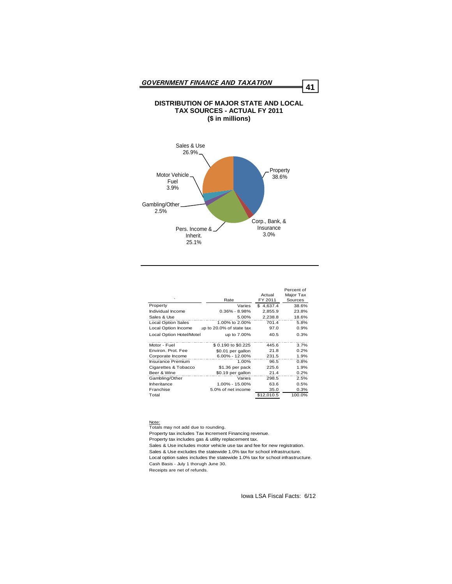# **DISTRIBUTION OF MAJOR STATE AND LOCAL TAX SOURCES - ACTUAL FY 2011 (\$ in millions)**



|                           |                          |            | Percent of |
|---------------------------|--------------------------|------------|------------|
|                           |                          | Actual     | Major Tax  |
| ٠                         | Rate                     | FY 2011    | Sources    |
| Property                  | Varies                   | \$4,637.4  | 38.6%      |
| Individual Income         | $0.36\% - 8.98\%$        | 2,855.9    | 23.8%      |
| Sales & Use               | 5.00%                    | 2.238.8    | 18.6%      |
| <b>Local Option Sales</b> | 1.00% to 2.00%           | 701.4      | 5.8%       |
| Local Option Income       | up to 20.0% of state tax | 97.0       | 0.9%       |
| Local Option Hotel/Motel  | up to 7.00%              | 40.5       | 0.3%       |
| Motor - Fuel              | \$ 0.190 to \$0.225      | 445.6      | 3.7%       |
| Environ, Prot, Fee        | \$0.01 per gallon        | 21.8       | 0.2%       |
| Corporate Income          | 6.00% - 12.00%           | 231.5      | 1.9%       |
| <b>Insurance Premium</b>  | 1.00%                    | 96.5       | 0.8%       |
| Cigarettes & Tobacco      | \$1.36 per pack          | 225.6      | 1.9%       |
| Beer & Wine               | \$0.19 per gallon        | 21.4       | 0.2%       |
| Gambling/Other            | Varies                   | 298.5      | 2.5%       |
| Inheritance               | 1.00% - 15.00%           | 63.6       | 0.5%       |
| Franchise                 | 5.0% of net income       | 35.0       | 0.3%       |
| Total                     |                          | \$12,010.5 | 100.0%     |

Note:

Totals may not add due to rounding.

Property tax includes Tax Increment Financing revenue.

Property tax includes gas & utility replacement tax.

Sales & Use includes motor vehicle use tax and fee for new registration.

Sales & Use excludes the statewide 1.0% tax for school infrastructure.

Local option sales includes the statewide 1.0% tax for school infrastructure. Cash Basis - July 1 thorugh June 30.

Receipts are net of refunds.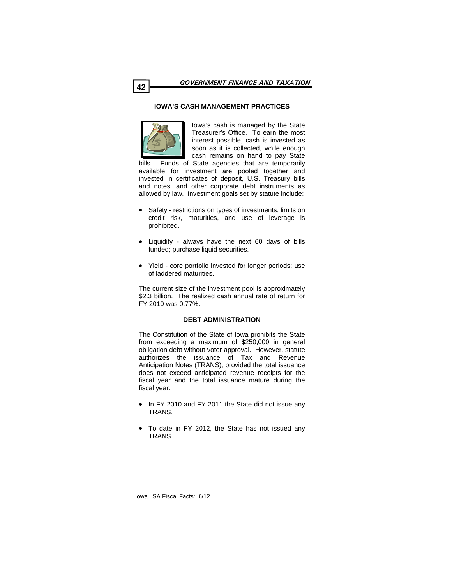# **IOWA'S CASH MANAGEMENT PRACTICES**



Iowa's cash is managed by the State Treasurer's Office. To earn the most interest possible, cash is invested as soon as it is collected, while enough cash remains on hand to pay State

bills. Funds of State agencies that are temporarily available for investment are pooled together and invested in certificates of deposit, U.S. Treasury bills and notes, and other corporate debt instruments as allowed by law. Investment goals set by statute include:

- Safety restrictions on types of investments, limits on credit risk, maturities, and use of leverage is prohibited.
- Liquidity always have the next 60 days of bills funded: purchase liquid securities.
- Yield core portfolio invested for longer periods; use of laddered maturities.

The current size of the investment pool is approximately \$2.3 billion. The realized cash annual rate of return for FY 2010 was 0.77%.

# **DEBT ADMINISTRATION**

The Constitution of the State of Iowa prohibits the State from exceeding a maximum of \$250,000 in general obligation debt without voter approval. However, statute authorizes the issuance of Tax and Revenue Anticipation Notes (TRANS), provided the total issuance does not exceed anticipated revenue receipts for the fiscal year and the total issuance mature during the fiscal year.

- In FY 2010 and FY 2011 the State did not issue any TRANS.
- To date in FY 2012, the State has not issued any TRANS.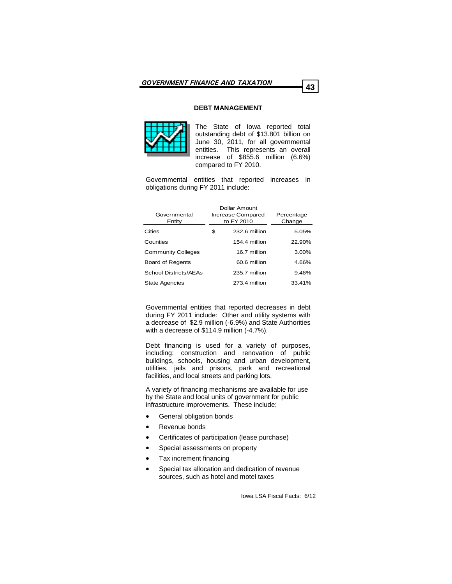# **DEBT MANAGEMENT**



The State of Iowa reported total outstanding debt of \$13.801 billion on June 30, 2011, for all governmental entities. This represents an overall increase of \$855.6 million (6.6%) compared to FY 2010.

Governmental entities that reported increases in obligations during FY 2011 include:

| Governmental<br>Entity    | Dollar Amount<br>Increase Compared<br>to FY 2010 |               | Percentage<br>Change |
|---------------------------|--------------------------------------------------|---------------|----------------------|
| Cities                    | \$                                               | 232.6 million | 5.05%                |
| Counties                  |                                                  | 154.4 million | 22.90%               |
| <b>Community Colleges</b> |                                                  | 16.7 million  | $3.00\%$             |
| <b>Board of Regents</b>   |                                                  | 60.6 million  | 4.66%                |
| School Districts/AEAs     |                                                  | 235.7 million | 9.46%                |
| <b>State Agencies</b>     |                                                  | 273.4 million | 33.41%               |

Governmental entities that reported decreases in debt during FY 2011 include: Other and utility systems with a decrease of \$2.9 million (-6.9%) and State Authorities with a decrease of \$114.9 million (-4.7%).

Debt financing is used for a variety of purposes, including: construction and renovation of public buildings, schools, housing and urban development, utilities, jails and prisons, park and recreational facilities, and local streets and parking lots.

A variety of financing mechanisms are available for use by the State and local units of government for public infrastructure improvements. These include:

- General obligation bonds
- Revenue bonds
- Certificates of participation (lease purchase)
- Special assessments on property
- Tax increment financing
- Special tax allocation and dedication of revenue sources, such as hotel and motel taxes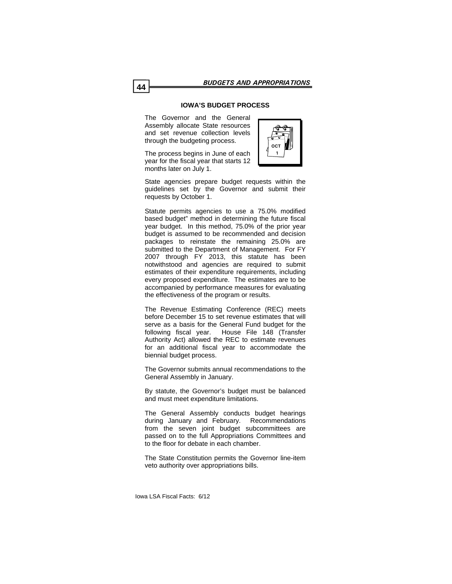# **IOWA'S BUDGET PROCESS**

The Governor and the General Assembly allocate State resources and set revenue collection levels through the budgeting process.

The process begins in June of each year for the fiscal year that starts 12 months later on July 1.



State agencies prepare budget requests within the guidelines set by the Governor and submit their requests by October 1.

Statute permits agencies to use a 75.0% modified based budget" method in determining the future fiscal year budget. In this method, 75.0% of the prior year budget is assumed to be recommended and decision packages to reinstate the remaining 25.0% are submitted to the Department of Management. For FY 2007 through FY 2013, this statute has been notwithstood and agencies are required to submit estimates of their expenditure requirements, including every proposed expenditure. The estimates are to be accompanied by performance measures for evaluating the effectiveness of the program or results.

The Revenue Estimating Conference (REC) meets before December 15 to set revenue estimates that will serve as a basis for the General Fund budget for the following fiscal year. House File 148 (Transfer Authority Act) allowed the REC to estimate revenues for an additional fiscal year to accommodate the biennial budget process.

The Governor submits annual recommendations to the General Assembly in January.

By statute, the Governor's budget must be balanced and must meet expenditure limitations.

The General Assembly conducts budget hearings during January and February. Recommendations from the seven joint budget subcommittees are passed on to the full Appropriations Committees and to the floor for debate in each chamber.

The State Constitution permits the Governor line-item veto authority over appropriations bills.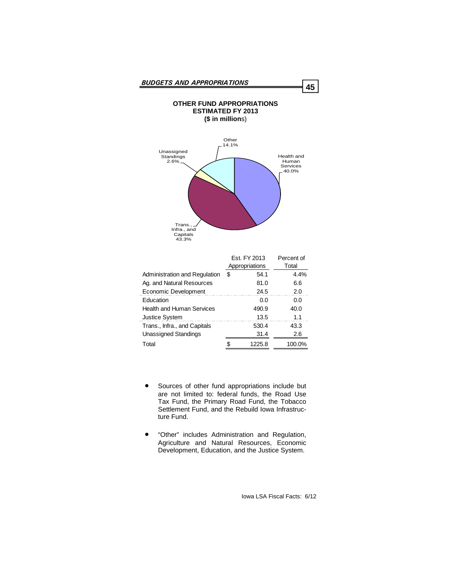

|                                  | Est. FY 2013<br>Appropriations |        | Percent of<br>Total |
|----------------------------------|--------------------------------|--------|---------------------|
| Administration and Regulation    | \$                             | 54.1   | 4.4%                |
| Ag. and Natural Resources        |                                | 81.0   | 6.6                 |
| Economic Development             |                                | 24.5   | 2.0                 |
| Education                        |                                | 0.0    | 0.0                 |
| <b>Health and Human Services</b> |                                | 490.9  | 40.0                |
| <b>Justice System</b>            |                                | 13.5   | 1.1                 |
| Trans., Infra., and Capitals     |                                | 530.4  | 43.3                |
| <b>Unassigned Standings</b>      |                                | 31.4   | 2.6                 |
| Total                            |                                | 1225.8 | 100.0%              |

- Sources of other fund appropriations include but are not limited to: federal funds, the Road Use Tax Fund, the Primary Road Fund, the Tobacco Settlement Fund, and the Rebuild Iowa Infrastructure Fund.
- "Other" includes Administration and Regulation, Agriculture and Natural Resources, Economic Development, Education, and the Justice System.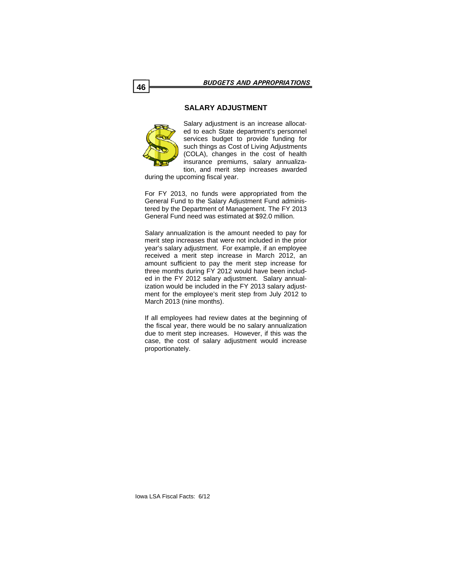# **SALARY ADJUSTMENT**



Salary adjustment is an increase allocated to each State department's personnel services budget to provide funding for such things as Cost of Living Adjustments (COLA), changes in the cost of health insurance premiums, salary annualization, and merit step increases awarded

during the upcoming fiscal year.

For FY 2013, no funds were appropriated from the General Fund to the Salary Adjustment Fund administered by the Department of Management. The FY 2013 General Fund need was estimated at \$92.0 million.

Salary annualization is the amount needed to pay for merit step increases that were not included in the prior year's salary adjustment. For example, if an employee received a merit step increase in March 2012, an amount sufficient to pay the merit step increase for three months during FY 2012 would have been included in the FY 2012 salary adjustment. Salary annualization would be included in the FY 2013 salary adjustment for the employee's merit step from July 2012 to March 2013 (nine months).

If all employees had review dates at the beginning of the fiscal year, there would be no salary annualization due to merit step increases. However, if this was the case, the cost of salary adjustment would increase proportionately.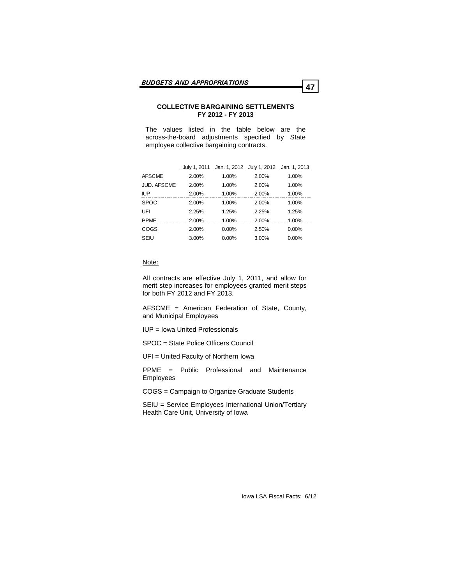# **COLLECTIVE BARGAINING SETTLEMENTS FY 2012 - FY 2013**

The values listed in the table below are the across-the-board adjustments specified by State employee collective bargaining contracts.

|                    | July 1, 2011 | Jan. 1, 2012 July 1, 2012 |       | Jan. 1, 2013 |
|--------------------|--------------|---------------------------|-------|--------------|
| <b>AFSCME</b>      | 2.00%        | 1.00%                     | 2.00% | 1.00%        |
| <b>JUD. AFSCME</b> | 2.00%        | 1.00%                     | 2.00% | 1.00%        |
| <b>IUP</b>         | 2.00%        | 1.00%                     | 2.00% | 1.00%        |
| <b>SPOC</b>        | 2.00%        | 1.00%                     | 2.00% | 1.00%        |
| UFI                | 2.25%        | 1.25%                     | 2.25% | 1.25%        |
| <b>PPME</b>        | 2.00%        | 1.00%                     | 2.00% | 1.00%        |
| COGS               | 2.00%        | 0.00%                     | 2.50% | 0.00%        |
| SEIU               | 3.00%        | 0.00%                     | 3.00% | 0.00%        |

#### Note:

All contracts are effective July 1, 2011, and allow for merit step increases for employees granted merit steps for both FY 2012 and FY 2013.

AFSCME = American Federation of State, County, and Municipal Employees

IUP = Iowa United Professionals

SPOC = State Police Officers Council

UFI = United Faculty of Northern Iowa

PPME = Public Professional and Maintenance Employees

COGS = Campaign to Organize Graduate Students

SEIU = Service Employees International Union/Tertiary Health Care Unit, University of Iowa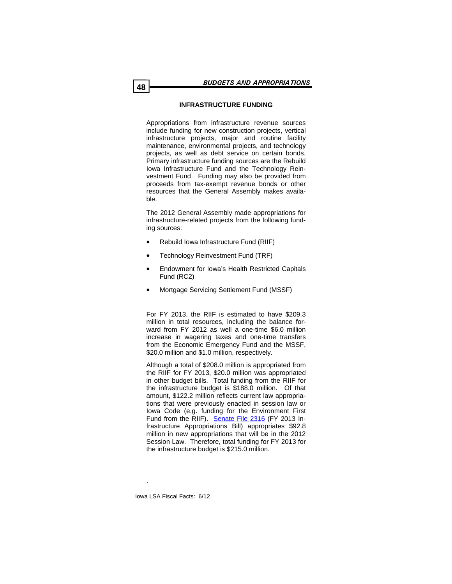# **INFRASTRUCTURE FUNDING**

Appropriations from infrastructure revenue sources include funding for new construction projects, vertical infrastructure projects, major and routine facility maintenance, environmental projects, and technology projects, as well as debt service on certain bonds. Primary infrastructure funding sources are the Rebuild Iowa Infrastructure Fund and the Technology Reinvestment Fund. Funding may also be provided from proceeds from tax-exempt revenue bonds or other resources that the General Assembly makes available.

The 2012 General Assembly made appropriations for infrastructure-related projects from the following funding sources:

- Rebuild Iowa Infrastructure Fund (RIIF)
- Technology Reinvestment Fund (TRF)
- Endowment for Iowa's Health Restricted Capitals Fund (RC2)
- Mortgage Servicing Settlement Fund (MSSF)

For FY 2013, the RIIF is estimated to have \$209.3 million in total resources, including the balance forward from FY 2012 as well a one-time \$6.0 million increase in wagering taxes and one-time transfers from the Economic Emergency Fund and the MSSF, \$20.0 million and \$1.0 million, respectively.

Although a total of \$208.0 million is appropriated from the RIIF for FY 2013, \$20.0 million was appropriated in other budget bills. Total funding from the RIIF for the infrastructure budget is \$188.0 million. Of that amount, \$122.2 million reflects current law appropriations that were previously enacted in session law or Iowa Code (e.g. funding for the Environment First Fund from the RIIF). [Senate File 2316](http://coolice.legis.state.ia.us/Cool-ICE/default.asp?Category=billinfo&Service=Billbook&menu=false&ga=84&hbill=SF2316) (FY 2013 Infrastructure Appropriations Bill) appropriates \$92.8 million in new appropriations that will be in the 2012 Session Law. Therefore, total funding for FY 2013 for the infrastructure budget is \$215.0 million.

.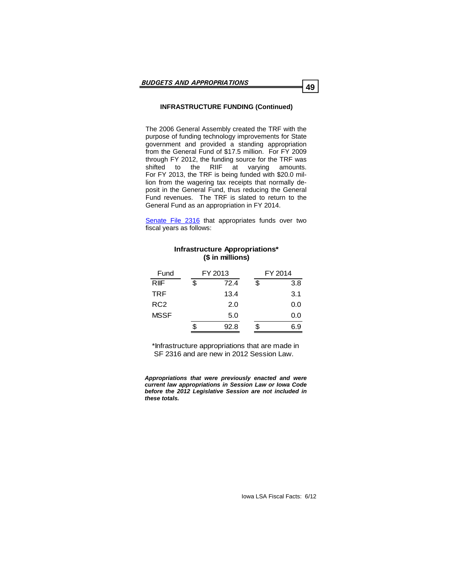# **INFRASTRUCTURE FUNDING (Continued)**

The 2006 General Assembly created the TRF with the purpose of funding technology improvements for State government and provided a standing appropriation from the General Fund of \$17.5 million. For FY 2009 through FY 2012, the funding source for the TRF was shifted to the RIIF at varying amounts. For FY 2013, the TRF is being funded with \$20.0 million from the wagering tax receipts that normally deposit in the General Fund, thus reducing the General Fund revenues. The TRF is slated to return to the General Fund as an appropriation in FY 2014.

[Senate File 2316](http://coolice.legis.state.ia.us/Cool-ICE/default.asp?Category=billinfo&Service=Billbook&menu=false&ga=84&hbill=SF2316) that appropriates funds over two fiscal years as follows:

**Infrastructure Appropriations\***

|                 | (\$ in millions) |           |
|-----------------|------------------|-----------|
| Fund            | FY 2013          | FY 2014   |
| <b>RIF</b>      | \$<br>72.4       | \$<br>3.8 |
| <b>TRF</b>      | 13.4             | 3.1       |
| RC <sub>2</sub> | 2.0              | 0.0       |
| <b>MSSF</b>     | 5.0              | 0.0       |
|                 | 92.8             | \$<br>6.9 |

\*Infrastructure appropriations that are made in SF 2316 and are new in 2012 Session Law.

*Appropriations that were previously enacted and were current law appropriations in Session Law or Iowa Code before the 2012 Legislative Session are not included in these totals.*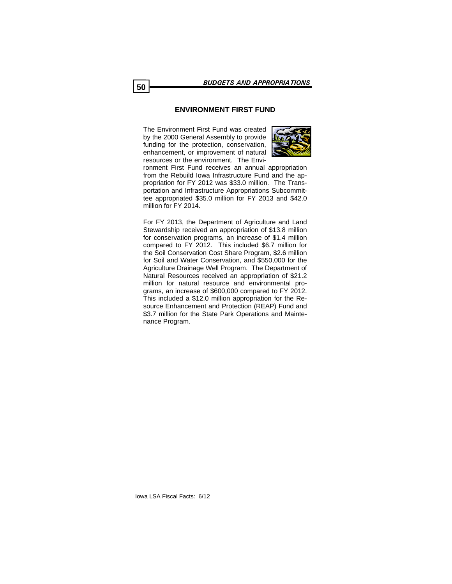# **ENVIRONMENT FIRST FUND**

The Environment First Fund was created by the 2000 General Assembly to provide funding for the protection, conservation, enhancement, or improvement of natural resources or the environment. The Envi-



ronment First Fund receives an annual appropriation from the Rebuild Iowa Infrastructure Fund and the appropriation for FY 2012 was \$33.0 million. The Transportation and Infrastructure Appropriations Subcommittee appropriated \$35.0 million for FY 2013 and \$42.0 million for FY 2014.

For FY 2013, the Department of Agriculture and Land Stewardship received an appropriation of \$13.8 million for conservation programs, an increase of \$1.4 million compared to FY 2012. This included \$6.7 million for the Soil Conservation Cost Share Program, \$2.6 million for Soil and Water Conservation, and \$550,000 for the Agriculture Drainage Well Program. The Department of Natural Resources received an appropriation of \$21.2 million for natural resource and environmental programs, an increase of \$600,000 compared to FY 2012. This included a \$12.0 million appropriation for the Resource Enhancement and Protection (REAP) Fund and \$3.7 million for the State Park Operations and Maintenance Program.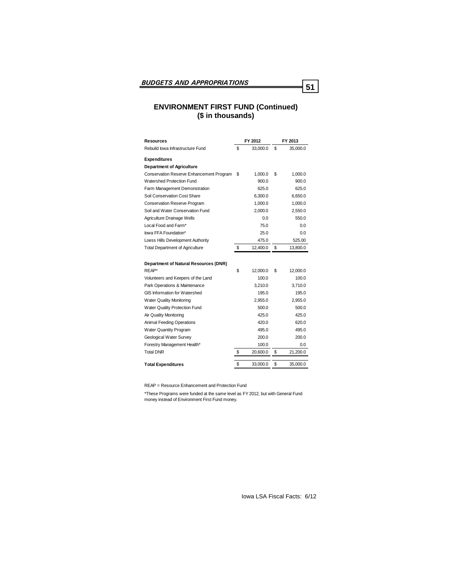# **ENVIRONMENT FIRST FUND (Continued) (\$ in thousands)**

| Resources                                | FY 2012        | FY 2013        |
|------------------------------------------|----------------|----------------|
| Rebuild lowa Infrastructure Fund         | \$<br>33,000.0 | \$<br>35,000.0 |
| <b>Expenditures</b>                      |                |                |
| <b>Department of Agriculture</b>         |                |                |
| Conservation Reserve Enhancement Program | \$<br>1,000.0  | \$<br>1,000.0  |
| Watershed Protection Fund                | 900.0          | 900.0          |
| Farm Management Demonstration            | 625.0          | 625.0          |
| Soil Conservation Cost Share             | 6.300.0        | 6.650.0        |
| <b>Conservation Reserve Program</b>      | 1,000.0        | 1,000.0        |
| Soil and Water Conservation Fund         | 2,000.0        | 2,550.0        |
| Agriculture Drainage Wells               | 0.0            | 550.0          |
| Local Food and Farm*                     | 75.0           | 0.0            |
| lowa FFA Foundation*                     | 25.0           | 0.0            |
| Loess Hills Development Authority        | 475.0          | 525.00         |
| <b>Total Department of Agriculture</b>   | \$<br>12,400.0 | \$<br>13,800.0 |
|                                          |                |                |
| Department of Natural Resources (DNR)    |                |                |
| RFAP*                                    | \$<br>12,000.0 | \$<br>12,000.0 |
| Volunteers and Keepers of the Land       | 100.0          | 100.0          |
| Park Operations & Maintenance            | 3,210.0        | 3,710.0        |
| GIS Information for Watershed            | 195.0          | 195.0          |
| <b>Water Quality Monitoring</b>          | 2.955.0        | 2.955.0        |
| Water Quality Protection Fund            | 500.0          | 500.0          |
| Air Quality Monitoring                   | 425.0          | 425.0          |
| Animal Feeding Operations                | 420.0          | 620.0          |
| <b>Water Quantity Program</b>            | 495.0          | 495.0          |
| Geological Water Survey                  | 200.0          | 200.0          |
| Forestry Management Health*              | 100.0          | 0.0            |
| <b>Total DNR</b>                         | \$<br>20,600.0 | \$<br>21,200.0 |
|                                          | \$<br>33,000.0 | \$<br>35,000.0 |
| <b>Total Expenditures</b>                |                |                |

REAP = Resource Enhancement and Protection Fund

\*These Programs were funded at the same level as FY 2012, but with General Fund money instead of Environment First Fund money.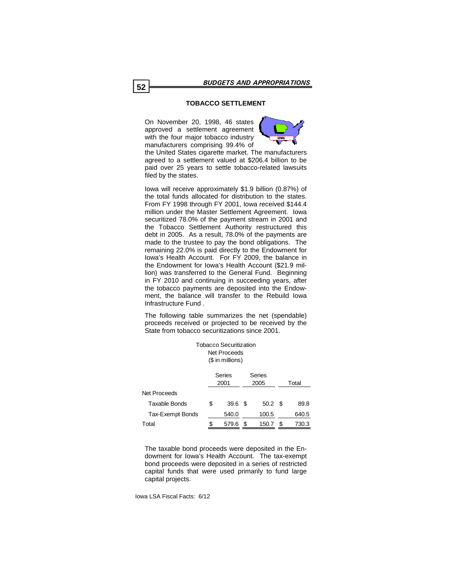# **TOBACCO SETTLEMENT**

On November 20, 1998, 46 states approved a settlement agreement with the four major tobacco industry manufacturers comprising 99.4% of



the United States cigarette market. The manufacturers agreed to a settlement valued at \$206.4 billion to be paid over 25 years to settle tobacco-related lawsuits filed by the states.

Iowa will receive approximately \$1.9 billion (0.87%) of the total funds allocated for distribution to the states. From FY 1998 through FY 2001, Iowa received \$144.4 million under the Master Settlement Agreement. Iowa securitized 78.0% of the payment stream in 2001 and the Tobacco Settlement Authority restructured this debt in 2005. As a result, 78.0% of the payments are made to the trustee to pay the bond obligations. The remaining 22.0% is paid directly to the Endowment for Iowa's Health Account. For FY 2009, the balance in the Endowment for Iowa's Health Account (\$21.9 million) was transferred to the General Fund. Beginning in FY 2010 and continuing in succeeding years, after the tobacco payments are deposited into the Endowment, the balance will transfer to the Rebuild Iowa Infrastructure Fund .

The following table summarizes the net (spendable) proceeds received or projected to be received by the State from tobacco securitizations since 2001.

Tobacco Securitization

| TUDACCU ƏBCÜHÜZƏNDIT<br>Net Proceeds<br>(\$ in millions) |                                  |       |   |       |     |       |
|----------------------------------------------------------|----------------------------------|-------|---|-------|-----|-------|
|                                                          | Series<br>Series<br>2001<br>2005 |       |   |       |     | Total |
| Net Proceeds                                             |                                  |       |   |       |     |       |
| <b>Taxable Bonds</b>                                     | \$                               | 39.6  | S | 50.2  | - 5 | 89.8  |
| Tax-Exempt Bonds                                         |                                  | 540.0 |   | 100.5 |     | 640.5 |
| Total                                                    | \$                               | 579.6 | S | 150.7 |     | 730.3 |

The taxable bond proceeds were deposited in the Endowment for Iowa's Health Account. The tax-exempt bond proceeds were deposited in a series of restricted capital funds that were used primarily to fund large capital projects.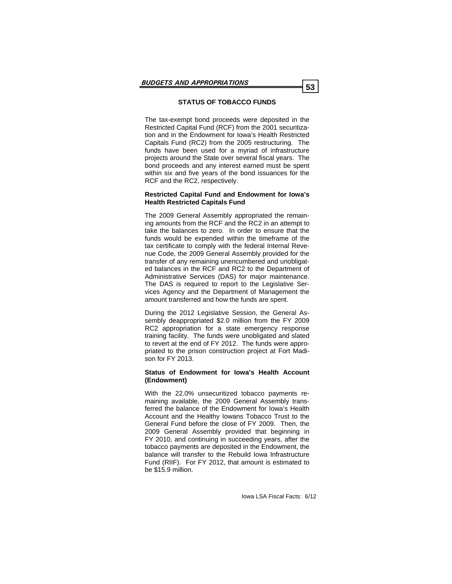# **STATUS OF TOBACCO FUNDS**

The tax-exempt bond proceeds were deposited in the Restricted Capital Fund (RCF) from the 2001 securitization and in the Endowment for Iowa's Health Restricted Capitals Fund (RC2) from the 2005 restructuring. The funds have been used for a myriad of infrastructure projects around the State over several fiscal years. The bond proceeds and any interest earned must be spent within six and five years of the bond issuances for the RCF and the RC2, respectively.

# **Restricted Capital Fund and Endowment for Iowa's Health Restricted Capitals Fund**

The 2009 General Assembly appropriated the remaining amounts from the RCF and the RC2 in an attempt to take the balances to zero. In order to ensure that the funds would be expended within the timeframe of the tax certificate to comply with the federal Internal Revenue Code, the 2009 General Assembly provided for the transfer of any remaining unencumbered and unobligated balances in the RCF and RC2 to the Department of Administrative Services (DAS) for major maintenance. The DAS is required to report to the Legislative Services Agency and the Department of Management the amount transferred and how the funds are spent.

During the 2012 Legislative Session, the General Assembly deappropriated \$2.0 million from the FY 2009 RC2 appropriation for a state emergency response training facility. The funds were unobligated and slated to revert at the end of FY 2012. The funds were appropriated to the prison construction project at Fort Madison for FY 2013.

# **Status of Endowment for Iowa's Health Account (Endowment)**

With the 22.0% unsecuritized tobacco payments remaining available, the 2009 General Assembly transferred the balance of the Endowment for Iowa's Health Account and the Healthy Iowans Tobacco Trust to the General Fund before the close of FY 2009. Then, the 2009 General Assembly provided that beginning in FY 2010, and continuing in succeeding years, after the tobacco payments are deposited in the Endowment, the balance will transfer to the Rebuild Iowa Infrastructure Fund (RIIF). For FY 2012, that amount is estimated to be \$15.9 million.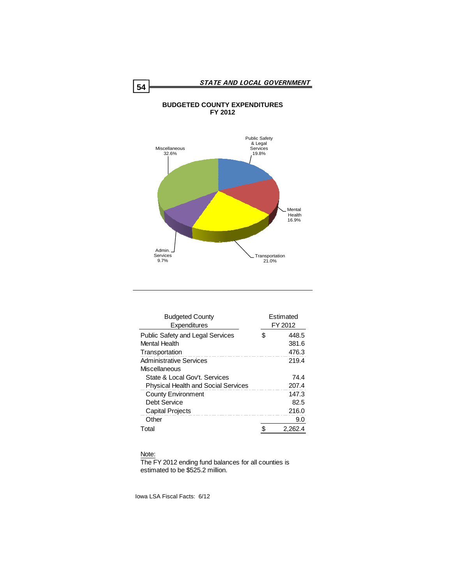# **BUDGETED COUNTY EXPENDITURES FY 2012**



| <b>Budgeted County</b>                     |   | Estimated |
|--------------------------------------------|---|-----------|
| Expenditures                               |   | FY 2012   |
| <b>Public Safety and Legal Services</b>    | S | 448.5     |
| Mental Health                              |   | 381.6     |
| Transportation                             |   | 476.3     |
| <b>Administrative Services</b>             |   | 219.4     |
| Miscellaneous                              |   |           |
| State & Local Gov't. Services              |   | 74.4      |
| <b>Physical Health and Social Services</b> |   | 207.4     |
| <b>County Environment</b>                  |   | 147.3     |
| Debt Service                               |   | 82.5      |
| <b>Capital Projects</b>                    |   | 216.0     |
| Other                                      |   | 9.0       |
| Total                                      |   | 2.262.    |

# Note:

The FY 2012 ending fund balances for all counties is estimated to be \$525.2 million.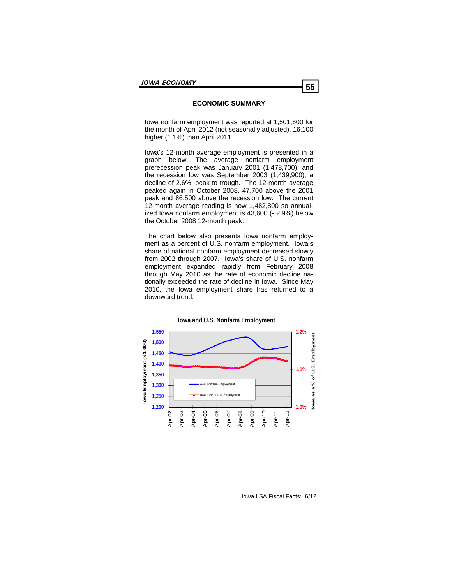# **ECONOMIC SUMMARY**

Iowa nonfarm employment was reported at 1,501,600 for the month of April 2012 (not seasonally adjusted), 16,100 higher (1.1%) than April 2011.

Iowa's 12-month average employment is presented in a graph below. The average nonfarm employment prerecession peak was January 2001 (1,478,700), and the recession low was September 2003 (1,439,900), a decline of 2.6%, peak to trough. The 12-month average peaked again in October 2008, 47,700 above the 2001 peak and 86,500 above the recession low. The current 12-month average reading is now 1,482,800 so annualized Iowa nonfarm employment is 43,600 (- 2.9%) below the October 2008 12-month peak.

The chart below also presents Iowa nonfarm employment as a percent of U.S. nonfarm employment. Iowa's share of national nonfarm employment decreased slowly from 2002 through 2007. Iowa's share of U.S. nonfarm employment expanded rapidly from February 2008 through May 2010 as the rate of economic decline nationally exceeded the rate of decline in Iowa. Since May 2010, the Iowa employment share has returned to a downward trend.



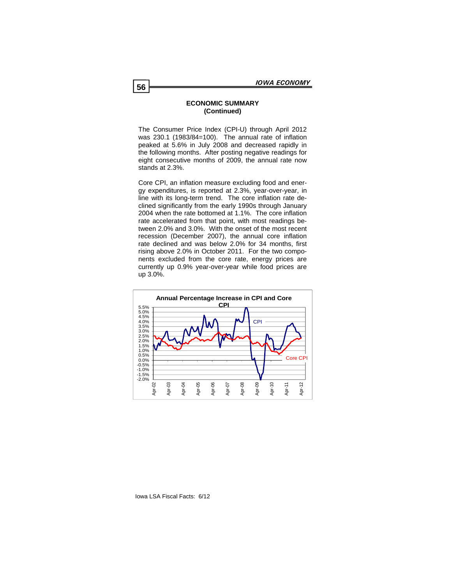## **ECONOMIC SUMMARY (Continued)**

The Consumer Price Index (CPI-U) through April 2012 was 230.1 (1983/84=100). The annual rate of inflation peaked at 5.6% in July 2008 and decreased rapidly in the following months. After posting negative readings for eight consecutive months of 2009, the annual rate now stands at 2.3%.

Core CPI, an inflation measure excluding food and energy expenditures, is reported at 2.3%, year-over-year, in line with its long-term trend. The core inflation rate declined significantly from the early 1990s through January 2004 when the rate bottomed at 1.1%. The core inflation rate accelerated from that point, with most readings between 2.0% and 3.0%. With the onset of the most recent recession (December 2007), the annual core inflation rate declined and was below 2.0% for 34 months, first rising above 2.0% in October 2011. For the two components excluded from the core rate, energy prices are currently up 0.9% year-over-year while food prices are up 3.0%.

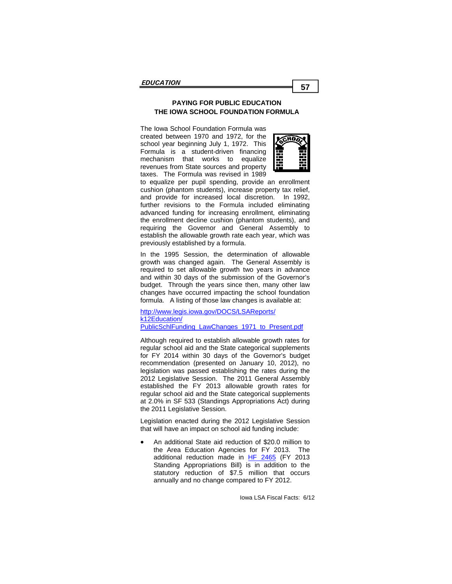# **PAYING FOR PUBLIC EDUCATION PAYING FOR PUBLIC EDUCATION THE IOWA SCHOOL FOUNDATION FORMULA THE IOWA SCHOOL FOUNDATION FORMULA**

The Iowa School Foundation Formula was created be-The Iowa School Foundation Formula was created between 1970 and 1972, for the  $\sqrt{\epsilon_{\text{H}}\omega_{\text{C}}\cdot\epsilon_{\text{C}}^2}$ school year beginning July 1, 1972. This  $\mathbb{S}$ Formula is a student-driven financing  $\begin{array}{cc} \blacksquare & \blacksquare \end{array}$ that works to equalize revenues from State sources and property **cust-custom** taxes. The Formula was revised in 1989 mechanism



to equalize per pupil spending, provide an enrollment cushion (phantom students), increase property tax relief, and provide for increased local discretion. In 1992, further revisions to the Formula included eliminating advanced funding for increasing enrollment, eliminating the enrollment decline cushion (phantom students), and requiring the Governor and General Assembly to previously established by a formula. establish the allowable growth rate each year, which was

In the 1995 Session, the determination of allowable m the rece econom, the accommitation of allowable growth was changed again. The General Assembly is grown that shanged again the constant theories, it is a reserved to set allowable growth two years in advance et. and within 30 days of the submission of the Governor's stagen inneagh and years enrol ment, many enror family constructs.  $\frac{1}{2}$  ble to  $\frac{1}{2}$  and  $\frac{1}{2}$  in the control funding and  $\frac{1}{2}$  and  $\frac{1}{2}$  are  $\frac{1}{2}$  and  $\frac{1}{2}$  are  $\frac{1}{2}$  and  $\frac{1}{2}$  are  $\frac{1}{2}$  and  $\frac{1}{2}$  are  $\frac{1}{2}$  and  $\frac{1}{2}$  are  $\frac{1}{2}$  and formula. A listing of those law changes is available at: budget. Through the years since then, many other law

http://www.legis.iowa.gov/DOCS/LSAReports/ longer based on the previous year's total regular program  $k$ 12Education/  $\epsilon$ [PublicSchlFunding\\_LawChanges\\_1971\\_to\\_Present.pdf](https://www.legis.iowa.gov/DOCS/LSAReports/k12Education/PublicSchlFunding_LawChanges_1971_to_Present.pdf)

Now school districts with declining enrollments are eligible Although required to establish allowable growth rates for for FY 2014 within 30 days of the Governor's budget recommendation (presented on January 10, 2012), no legislation was passed establishing the rates during the established the FY 2013 allowable growth rates for regular school aid and the State categorical supplements<br>regular program district. For the State categorical supplements at 2.0% in SF 533 (Standings Appropriations Act) during the 2011 Legislative Session. regular school aid and the State categorical supplements 2012 Legislative Session. The 2011 General Assembly

Legislation enacted during the 2012 Legislative Session that will have an impact on school aid funding include:

 An additional State aid reduction of \$20.0 million to the Area Education Agencies for FY 2013. The additional reduction made in [HF 2465](http://coolice.legis.state.ia.us/Cool-ICE/default.asp?Category=billinfo&Service=Billbook&menu=false&ga=84&hbill=HF2465) (FY 2013 Standing Appropriations Bill) is in addition to the statutory reduction of \$7.5 million that occurs annually and no change compared to FY 2012.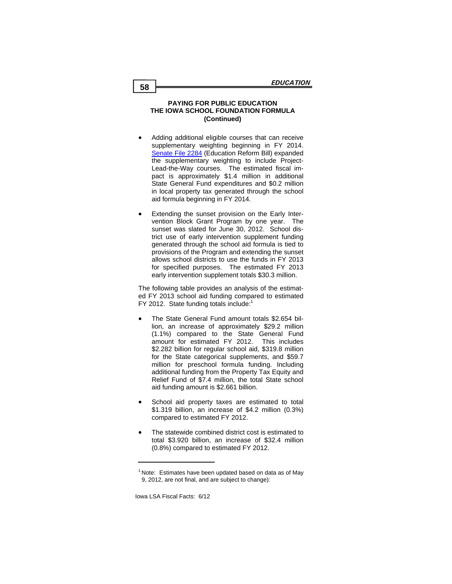#### **PAYING FOR PUBLIC EDUCATION THE IOWA SCHOOL FOUNDATION FORMULA (Continued)**

- Adding additional eligible courses that can receive supplementary weighting beginning in FY 2014. [Senate File 2284](http://coolice.legis.state.ia.us/Cool-ICE/default.asp?Category=billinfo&Service=Billbook&menu=false&ga=84&hbill=SF2284) (Education Reform Bill) expanded the supplementary weighting to include Project-Lead-the-Way courses. The estimated fiscal impact is approximately \$1.4 million in additional State General Fund expenditures and \$0.2 million in local property tax generated through the school aid formula beginning in FY 2014.
- Extending the sunset provision on the Early Intervention Block Grant Program by one year. The sunset was slated for June 30, 2012. School district use of early intervention supplement funding generated through the school aid formula is tied to provisions of the Program and extending the sunset allows school districts to use the funds in FY 2013 for specified purposes. The estimated FY 2013 early intervention supplement totals \$30.3 million.

The following table provides an analysis of the estimated FY 2013 school aid funding compared to estimated FY 2012. State funding totals include:<sup>1</sup>

- The State General Fund amount totals \$2.654 billion, an increase of approximately \$29.2 million (1.1%) compared to the State General Fund amount for estimated FY 2012. This includes \$2.282 billion for regular school aid, \$319.8 million for the State categorical supplements, and \$59.7 million for preschool formula funding. Including additional funding from the Property Tax Equity and Relief Fund of \$7.4 million, the total State school aid funding amount is \$2.661 billion.
- School aid property taxes are estimated to total \$1.319 billion, an increase of \$4.2 million (0.3%) compared to estimated FY 2012.
- The statewide combined district cost is estimated to total \$3.920 billion, an increase of \$32.4 million (0.8%) compared to estimated FY 2012.

 $1$  Note: Estimates have been updated based on data as of May 9, 2012, are not final, and are subject to change):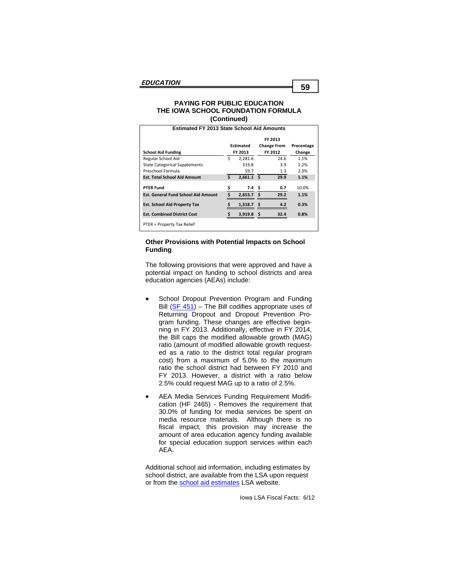#### **PAYING FOR PUBLIC EDUCATION THE IOWA SCHOOL FOUNDATION FORMULA (Continued)**

| <b>Estimated FY 2013 State School Aid Amounts</b> |    |                    |     |                    |            |  |  |
|---------------------------------------------------|----|--------------------|-----|--------------------|------------|--|--|
|                                                   |    |                    |     |                    |            |  |  |
|                                                   |    | <b>Estimated</b>   |     | <b>Change From</b> | Precentage |  |  |
| <b>School Aid Funding</b>                         |    | FY 2012<br>FY 2013 |     |                    | Change     |  |  |
| Regular School Aid                                | Ś  | 2,281.6            |     | 24.6               | 1.1%       |  |  |
| <b>State Categorical Supplements</b>              |    | 319.8              |     | 3.9                | 1.2%       |  |  |
| Preschool Formula                                 |    | 59.7               |     | 1.3                | 2.3%       |  |  |
| <b>Est. Total School Aid Amount</b>               | Ś. | 2,661.1            | Ŝ.  | 29.9               | 1.1%       |  |  |
| <b>PTER Fund</b>                                  | \$ | 7.4                | \$. | 0.7                | 10.0%      |  |  |
| <b>Est. General Fund School Aid Amount</b>        | Ś  | 2.653.7            | \$. | 29.2               | 1.1%       |  |  |
| <b>Est. School Aid Property Tax</b>               |    | $1,318.7$ \$       |     | 4.2                | 0.3%       |  |  |
| <b>Est. Combined District Cost</b>                |    | $3,919.8$ \$       |     | 32.4               | 0.8%       |  |  |
| PTER = Property Tax Relief                        |    |                    |     |                    |            |  |  |

# **Other Provisions with Potential Impacts on School Funding**

The following provisions that were approved and have a potential impact on funding to school districts and area education agencies (AEAs) include:

- School Dropout Prevention Program and Funding Bill  $(SF 451)$  $(SF 451)$  – The Bill codifies appropriate uses of Returning Dropout and Dropout Prevention Program funding. These changes are effective beginning in FY 2013. Additionally, effective in FY 2014, the Bill caps the modified allowable growth (MAG) ratio (amount of modified allowable growth requested as a ratio to the district total regular program cost) from a maximum of 5.0% to the maximum ratio the school district had between FY 2010 and FY 2013. However, a district with a ratio below 2.5% could request MAG up to a ratio of 2.5%.
- AEA Media Services Funding Requirement Modification ([HF 2465\)](http://coolice.legis.state.ia.us/Cool-ICE/default.asp?Category=billinfo&Service=Billbook&menu=false&ga=84&hbill=HF2465) - Removes the requirement that 30.0% of funding for media services be spent on media resource materials. Although there is no fiscal impact, this provision may increase the amount of area education agency funding available for special education support services within each AEA.

Additional school aid information, including estimates by school district, are available from the LSA upon request or from the [school aid estimates](https://www.legis.iowa.gov/LSAReports/k12Estimates.aspx) LSA website.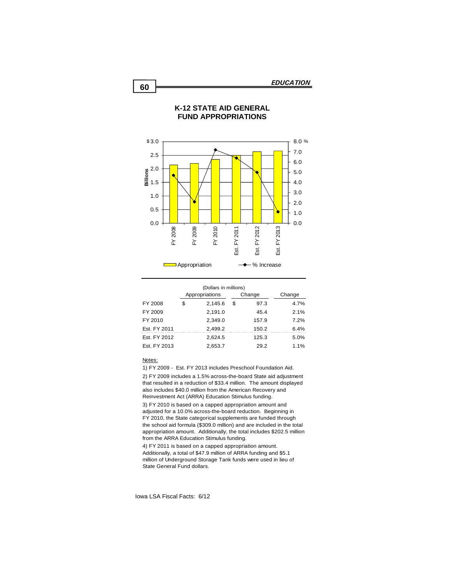

# **K-12 STATE AID GENERAL FUND APPROPRIATIONS**

| (Dollars in millions) |   |                |        |       |        |  |  |  |  |
|-----------------------|---|----------------|--------|-------|--------|--|--|--|--|
|                       |   | Appropriations | Change |       | Change |  |  |  |  |
| FY 2008               | S | 2,145.6        | S      | 97.3  | 4.7%   |  |  |  |  |
| FY 2009               |   | 2,191.0        |        | 45.4  | 2.1%   |  |  |  |  |
| FY 2010               |   | 2.349.0        |        | 157.9 | 7.2%   |  |  |  |  |
| Est. FY 2011          |   | 2.499.2        |        | 150.2 | 6.4%   |  |  |  |  |
| Est. FY 2012          |   | 2,624.5        |        | 125.3 | 5.0%   |  |  |  |  |
| Est. FY 2013          |   | 2.653.7        |        | 29.2  | 1.1%   |  |  |  |  |

#### Notes:

1) FY 2009 - Est. FY 2013 includes Preschool Foundation Aid.

2) FY 2009 includes a 1.5% across-the-board State aid adjustment that resulted in a reduction of \$33.4 million. The amount displayed also includes \$40.0 million from the American Recovery and Reinvestment Act (ARRA) Education Stimulus funding.

3) FY 2010 is based on a capped appropriation amount and adjusted for a 10.0% across-the-board reduction. Beginning in FY 2010, the State categorical supplements are funded through the school aid formula (\$309.0 million) and are included in the total appropriation amount. Additionally, the total includes \$202.5 million from the ARRA Education Stimulus funding.

4) FY 2011 is based on a capped appropriation amount. Additionally, a total of \$47.9 million of ARRA funding and \$5.1 million of Underground Storage Tank funds were used in lieu of State General Fund dollars.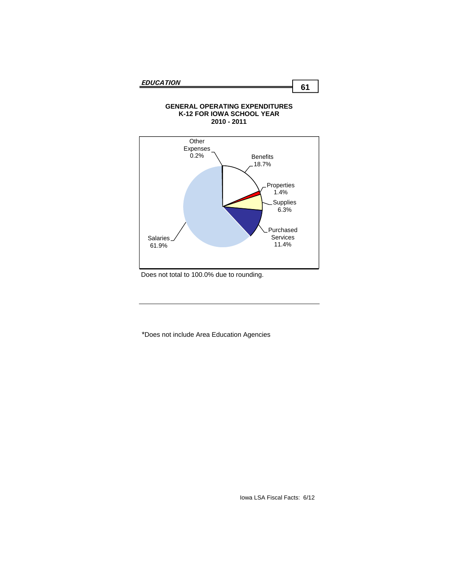Salaries 61.9%



# **GENERAL OPERATING EXPENDITURES**

Does not total to 100.0% due to rounding.

\*Does not include Area Education Agencies

**Supplies** 6.3%

Purchased Services 11.4%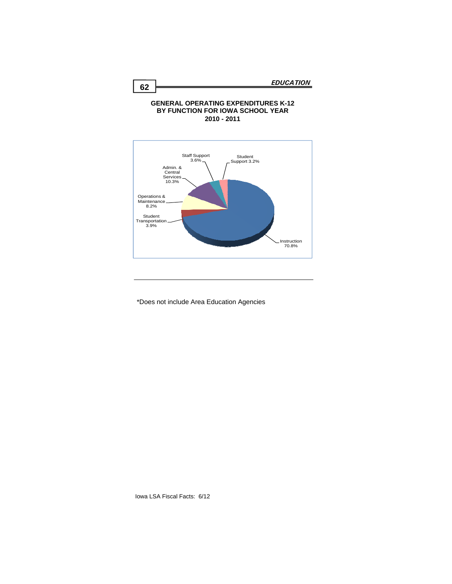#### **GENERAL OPERATING EXPENDITURES K-12 BY FUNCTION FOR IOWA SCHOOL YEAR 2010 - 2011**



\*Does not include Area Education Agencies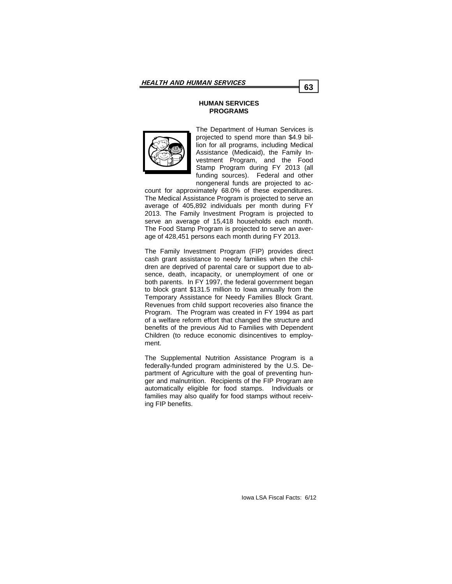## **HUMAN SERVICES PROGRAMS**



The Department of Human Services is projected to spend more than \$4.9 billion for all programs, including Medical Assistance (Medicaid), the Family Investment Program, and the Food Stamp Program during FY 2013 (all funding sources). Federal and other nongeneral funds are projected to ac-

count for approximately 68.0% of these expenditures. The Medical Assistance Program is projected to serve an average of 405,892 individuals per month during FY 2013. The Family Investment Program is projected to serve an average of 15,418 households each month. The Food Stamp Program is projected to serve an average of 428,451 persons each month during FY 2013.

The Family Investment Program (FIP) provides direct cash grant assistance to needy families when the children are deprived of parental care or support due to absence, death, incapacity, or unemployment of one or both parents. In FY 1997, the federal government began to block grant \$131.5 million to Iowa annually from the Temporary Assistance for Needy Families Block Grant. Revenues from child support recoveries also finance the Program. The Program was created in FY 1994 as part of a welfare reform effort that changed the structure and benefits of the previous Aid to Families with Dependent Children (to reduce economic disincentives to employment.

The Supplemental Nutrition Assistance Program is a federally-funded program administered by the U.S. Department of Agriculture with the goal of preventing hunger and malnutrition. Recipients of the FIP Program are automatically eligible for food stamps. Individuals or families may also qualify for food stamps without receiving FIP benefits.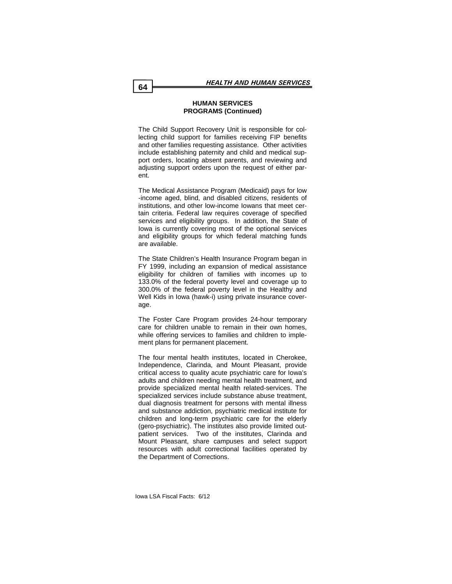# **HUMAN SERVICES PROGRAMS (Continued)**

The Child Support Recovery Unit is responsible for collecting child support for families receiving FIP benefits and other families requesting assistance. Other activities include establishing paternity and child and medical support orders, locating absent parents, and reviewing and adjusting support orders upon the request of either parent.

The Medical Assistance Program (Medicaid) pays for low -income aged, blind, and disabled citizens, residents of institutions, and other low-income Iowans that meet certain criteria. Federal law requires coverage of specified services and eligibility groups. In addition, the State of Iowa is currently covering most of the optional services and eligibility groups for which federal matching funds are available.

The State Children's Health Insurance Program began in FY 1999, including an expansion of medical assistance eligibility for children of families with incomes up to 133.0% of the federal poverty level and coverage up to 300.0% of the federal poverty level in the Healthy and Well Kids in Iowa (hawk-i) using private insurance coverage.

The Foster Care Program provides 24-hour temporary care for children unable to remain in their own homes, while offering services to families and children to implement plans for permanent placement.

The four mental health institutes, located in Cherokee, Independence, Clarinda, and Mount Pleasant, provide critical access to quality acute psychiatric care for Iowa's adults and children needing mental health treatment, and provide specialized mental health related-services. The specialized services include substance abuse treatment, dual diagnosis treatment for persons with mental illness and substance addiction, psychiatric medical institute for children and long-term psychiatric care for the elderly (gero-psychiatric). The institutes also provide limited outpatient services. Two of the institutes, Clarinda and Mount Pleasant, share campuses and select support resources with adult correctional facilities operated by the Department of Corrections.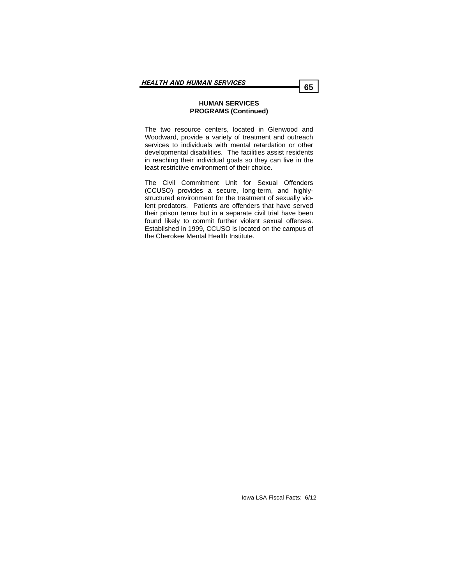### **HUMAN SERVICES PROGRAMS (Continued)**

The two resource centers, located in Glenwood and Woodward, provide a variety of treatment and outreach services to individuals with mental retardation or other developmental disabilities. The facilities assist residents in reaching their individual goals so they can live in the least restrictive environment of their choice.

The Civil Commitment Unit for Sexual Offenders (CCUSO) provides a secure, long-term, and highlystructured environment for the treatment of sexually violent predators. Patients are offenders that have served their prison terms but in a separate civil trial have been found likely to commit further violent sexual offenses. Established in 1999, CCUSO is located on the campus of the Cherokee Mental Health Institute.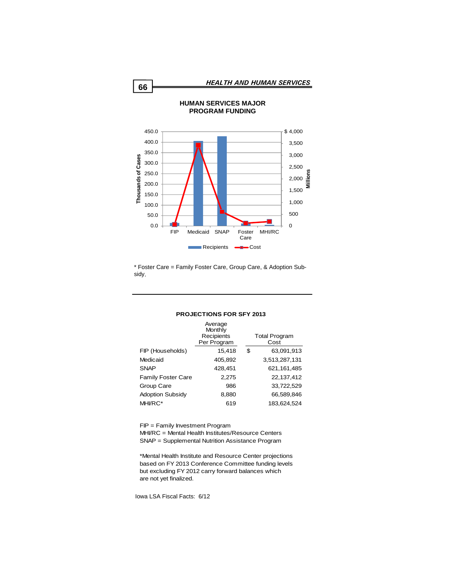

\* Foster Care = Family Foster Care, Group Care, & Adoption Subsidy.

#### **PROJECTIONS FOR SFY 2013**

|                           | Average<br>Monthly<br>Recipients<br>Per Program | <b>Total Program</b><br>Cost |
|---------------------------|-------------------------------------------------|------------------------------|
| FIP (Households)          | 15,418                                          | \$<br>63,091,913             |
| Medicaid                  | 405,892                                         | 3,513,287,131                |
| <b>SNAP</b>               | 428,451                                         | 621, 161, 485                |
| <b>Family Foster Care</b> | 2,275                                           | 22.137.412                   |
| Group Care                | 986                                             | 33,722,529                   |
| <b>Adoption Subsidy</b>   | 8,880                                           | 66,589,846                   |
| MHI/RC*                   | 619                                             | 183.624.524                  |

FIP = Family Investment Program MHI/RC = Mental Health Institutes/Resource Centers SNAP = Supplemental Nutrition Assistance Program

\*Mental Health Institute and Resource Center projections based on FY 2013 Conference Committee funding levels but excluding FY 2012 carry forward balances which are not yet finalized.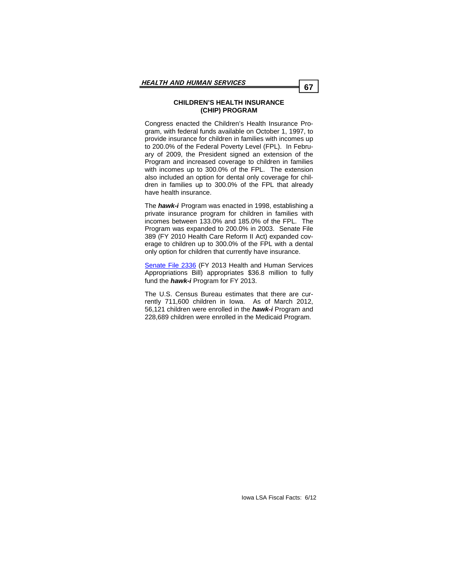## **CHILDREN'S HEALTH INSURANCE (CHIP) PROGRAM**

Congress enacted the Children's Health Insurance Program, with federal funds available on October 1, 1997, to provide insurance for children in families with incomes up to 200.0% of the Federal Poverty Level (FPL). In February of 2009, the President signed an extension of the Program and increased coverage to children in families with incomes up to 300.0% of the FPL. The extension also included an option for dental only coverage for children in families up to 300.0% of the FPL that already have health insurance.

The *hawk-i* Program was enacted in 1998, establishing a private insurance program for children in families with incomes between 133.0% and 185.0% of the FPL. The Program was expanded to 200.0% in 2003. Senate File 389 (FY 2010 Health Care Reform II Act) expanded coverage to children up to 300.0% of the FPL with a dental only option for children that currently have insurance.

[Senate File 2336](http://coolice.legis.state.ia.us/Cool-ICE/default.asp?Category=billinfo&Service=Billbook&menu=false&hbill=sf2336) (FY 2013 Health and Human Services Appropriations Bill) appropriates \$36.8 million to fully fund the *hawk-i* Program for FY 2013.

The U.S. Census Bureau estimates that there are currently 711,600 children in Iowa. As of March 2012, 56,121 children were enrolled in the *hawk-i* Program and 228,689 children were enrolled in the Medicaid Program.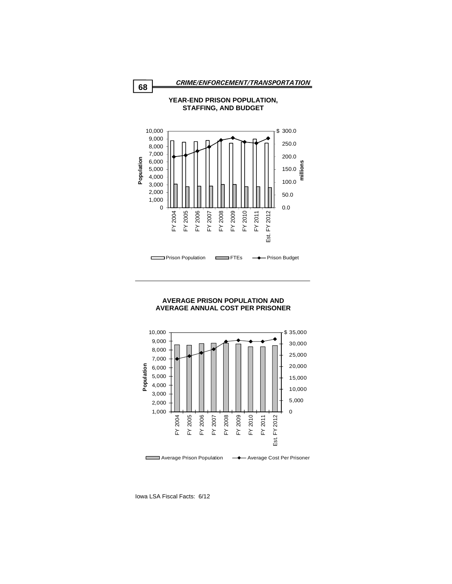



# **YEAR-END PRISON POPULATION,**

#### **AVERAGE PRISON POPULATION AND AVERAGE ANNUAL COST PER PRISONER**

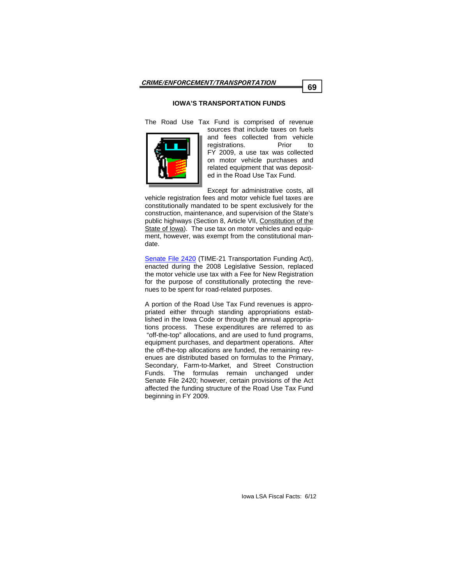## **IOWA'S TRANSPORTATION FUNDS**

The Road Use Tax Fund is comprised of revenue



sources that include taxes on fuels and fees collected from vehicle registrations. Prior to FY 2009, a use tax was collected on motor vehicle purchases and related equipment that was deposited in the Road Use Tax Fund.

Except for administrative costs, all vehicle registration fees and motor vehicle fuel taxes are constitutionally mandated to be spent exclusively for the construction, maintenance, and supervision of the State's public highways (Section 8, Article VII, Constitution of the State of Iowa). The use tax on motor vehicles and equipment, however, was exempt from the constitutional mandate.

[Senate File 2420](http://coolice.legis.state.ia.us/Cool-ICE/default.asp?Category=billinfo&Service=Billbook&menu=false&ga=82&hbill=SF2420) (TIME-21 Transportation Funding Act), enacted during the 2008 Legislative Session, replaced the motor vehicle use tax with a Fee for New Registration for the purpose of constitutionally protecting the revenues to be spent for road-related purposes.

A portion of the Road Use Tax Fund revenues is appropriated either through standing appropriations established in the Iowa Code or through the annual appropriations process. These expenditures are referred to as "off-the-top" allocations, and are used to fund programs, equipment purchases, and department operations. After the off-the-top allocations are funded, the remaining revenues are distributed based on formulas to the Primary, Secondary, Farm-to-Market, and Street Construction Funds. The formulas remain unchanged under Senate File 2420; however, certain provisions of the Act affected the funding structure of the Road Use Tax Fund beginning in FY 2009.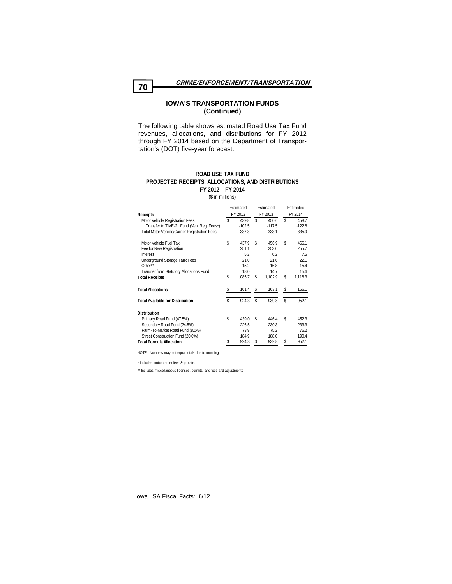The following table shows estimated Road Use Tax Fund revenues, allocations, and distributions for FY 2012 through FY 2014 based on the Department of Transportation's (DOT) five-year forecast.

#### **PROJECTED RECEIPTS, ALLOCATIONS, AND DISTRIBUTIONS ROAD USE TAX FUND FY 2012 – FY 2014**

(\$ in millions)

| Estimated<br>FY 2012<br>Receipts                                              |    |                   | Estimated<br>FY 2013 |                   | Estimated<br>FY 2014 |                   |
|-------------------------------------------------------------------------------|----|-------------------|----------------------|-------------------|----------------------|-------------------|
| Motor Vehicle Registration Fees<br>Transfer to TIME-21 Fund (Veh. Reg. Fees*) | \$ | 439.8<br>$-102.5$ | \$                   | 450.6<br>$-117.5$ | \$                   | 458.7<br>$-122.8$ |
| <b>Total Motor Vehicle/Carrier Registration Fees</b>                          |    | 337.3             |                      | 333.1             |                      | 335.9             |
| Motor Vehicle Fuel Tax                                                        | \$ | 437.9             | \$                   | 456.9             | \$                   | 466.1             |
| Fee for New Registration                                                      |    | 251.1             |                      | 253.6             |                      | 255.7             |
| Interest                                                                      |    | 5.2               |                      | 6.2               |                      | 7.5               |
| Underground Storage Tank Fees                                                 |    | 21.0              |                      | 21.6              |                      | 22.1              |
| Other**                                                                       |    | 15.2              |                      | 16.8              |                      | 15.4              |
| Transfer from Statutory Allocations Fund                                      |    | 18.0              |                      | 14.7              |                      | 15.6              |
| <b>Total Receipts</b>                                                         | \$ | 1,085.7           | \$                   | 1,102.9           | \$                   | 1,118.3           |
| <b>Total Allocations</b>                                                      | \$ | 161.4             | \$                   | 163.1             | \$                   | 166.1             |
| <b>Total Available for Distribution</b>                                       | \$ | 924.3             | \$                   | 939.8             | \$                   | 952.1             |
| <b>Distribution</b>                                                           |    |                   |                      |                   |                      |                   |
| Primary Road Fund (47.5%)                                                     | \$ | 439.0             | \$                   | 446.4             | \$                   | 452.3             |
| Secondary Road Fund (24.5%)                                                   |    | 226.5             |                      | 230.3             |                      | 233.3             |
| Farm-To-Market Road Fund (8.0%)                                               |    | 73.9              |                      | 75.2              |                      | 76.2              |
| Street Construction Fund (20.0%)                                              |    | 184.9             |                      | 188.0             |                      | 190.4             |
| <b>Total Formula Allocation</b>                                               | \$ | 924.3             | \$                   | 939.8             | \$                   | 952.1             |

NOTE: Numbers may not equal totals due to rounding.

\* Includes motor carrier fees & prorate.

\*\* Includes miscellaneous licenses, permits, and fees and adjustments.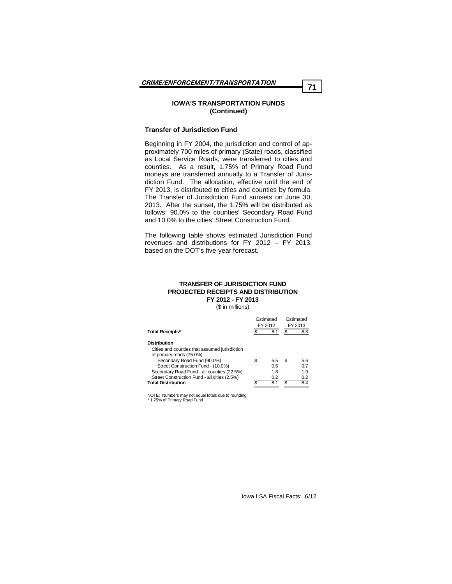#### **Transfer of Jurisdiction Fund**

Beginning in FY 2004, the jurisdiction and control of approximately 700 miles of primary (State) roads, classified as Local Service Roads, were transferred to cities and counties. As a result, 1.75% of Primary Road Fund moneys are transferred annually to a Transfer of Jurisdiction Fund. The allocation, effective until the end of FY 2013, is distributed to cities and counties by formula. The Transfer of Jurisdiction Fund sunsets on June 30, 2013. After the sunset, the 1.75% will be distributed as follows: 90.0% to the counties' Secondary Road Fund and 10.0% to the cities' Street Construction Fund.

The following table shows estimated Jurisdiction Fund revenues and distributions for FY 2012 – FY 2013, based on the DOT's five-year forecast.

#### **TRANSFER OF JURISDICTION FUND PROJECTED RECEIPTS AND DISTRIBUTION FY 2012 - FY 2013**

(\$ in millions)

| <b>Total Receipts*</b>                        |    | Estimated<br>FY 2012 | Estimated<br>FY 2013 |     |
|-----------------------------------------------|----|----------------------|----------------------|-----|
|                                               |    | 8.1                  |                      | 8.3 |
| <b>Distribution</b>                           |    |                      |                      |     |
| Cities and counties that assumed jurisdiction |    |                      |                      |     |
| of primary roads (75.0%)                      |    |                      |                      |     |
| Secondary Road Fund (90.0%)                   | \$ | 5.5                  | S                    | 5.6 |
| Street Construction Fund - (10.0%)            |    | 0.6                  |                      | 0.7 |
| Secondary Road Fund - all counties (22.5%)    |    | 1.8                  |                      | 1.9 |
| Street Construction Fund - all cities (2.5%)  |    | 0.2                  |                      | 0.2 |
| <b>Total Distribution</b>                     |    | 8.1                  |                      | 8.4 |

NOTE: Numbers may not equal totals due to rounding. \* 1.75% of Primary Road Fund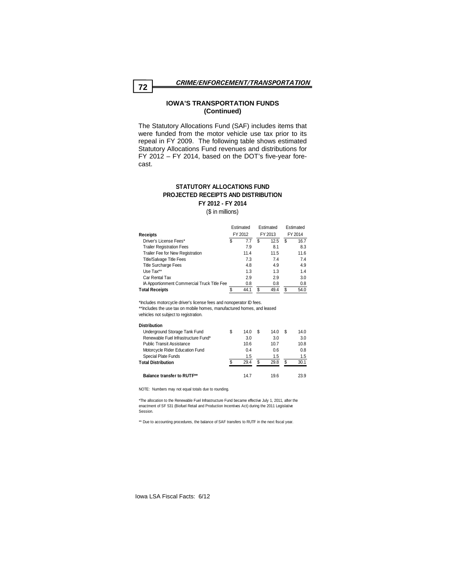The Statutory Allocations Fund (SAF) includes items that were funded from the motor vehicle use tax prior to its repeal in FY 2009. The following table shows estimated Statutory Allocations Fund revenues and distributions for FY 2012 – FY 2014, based on the DOT's five-year forecast.

## **STATUTORY ALLOCATIONS FUND PROJECTED RECEIPTS AND DISTRIBUTION FY 2012 - FY 2014**

(\$ in millions)

|                                             | Estimated<br>FY 2012 |      | Estimated<br>FY 2013 |      | Estimated<br>FY 2014 |      |
|---------------------------------------------|----------------------|------|----------------------|------|----------------------|------|
| <b>Receipts</b>                             |                      |      |                      |      |                      |      |
| Driver's License Fees*                      | \$                   | 7.7  | S                    | 12.5 | S                    | 16.7 |
| <b>Trailer Registration Fees</b>            |                      | 7.9  |                      | 8.1  |                      | 8.3  |
| Trailer Fee for New Registration            |                      | 11.4 |                      | 11.5 |                      | 11.6 |
| <b>Title/Salvage Title Fees</b>             |                      | 7.3  |                      | 7.4  |                      | 7.4  |
| <b>Title Surcharge Fees</b>                 |                      | 4.8  |                      | 4.9  |                      | 4.9  |
| Use Tax**                                   |                      | 1.3  |                      | 1.3  |                      | 1.4  |
| Car Rental Tax                              |                      | 2.9  |                      | 2.9  |                      | 3.0  |
| IA Apportionment Commercial Truck Title Fee |                      | 0.8  |                      | 0.8  |                      | 0.8  |
| <b>Total Receipts</b>                       |                      | 44.1 | S                    | 49.4 |                      | 54.0 |

\*Includes motorcycle driver's license fees and nonoperator ID fees.

\*\*Includes the use tax on mobile homes, manufactured homes, and leased vehicles not subject to registration.

| <b>Distribution</b>                 |   |      |   |      |      |
|-------------------------------------|---|------|---|------|------|
| Underground Storage Tank Fund       | S | 14.0 |   | 14.0 | 14.0 |
| Renewable Fuel Infrastructure Fund* |   | 3.0  |   | 3.0  | 3.0  |
| <b>Public Transit Assistance</b>    |   | 10.6 |   | 10.7 | 10.8 |
| Motorcycle Rider Education Fund     |   | 0.4  |   | 0.6  | 0.8  |
| Special Plate Funds                 |   | 1.5  |   | 1.5  | 1.5  |
| <b>Total Distribution</b>           | ¢ | 29.4 | S | 29.8 | 30.1 |
| <b>Balance transfer to RUTF**</b>   |   | 147  |   | 196  | 23.9 |

NOTE: Numbers may not equal totals due to rounding.

\*The allocation to the Renewable Fuel Infrastructure Fund became effective July 1, 2011, after the enactment of SF 531 (Biofuel Retail and Production Incentives Act) during the 2011 Legislative Session.

\*\* Due to accounting procedures, the balance of SAF transfers to RUTF in the next fiscal year.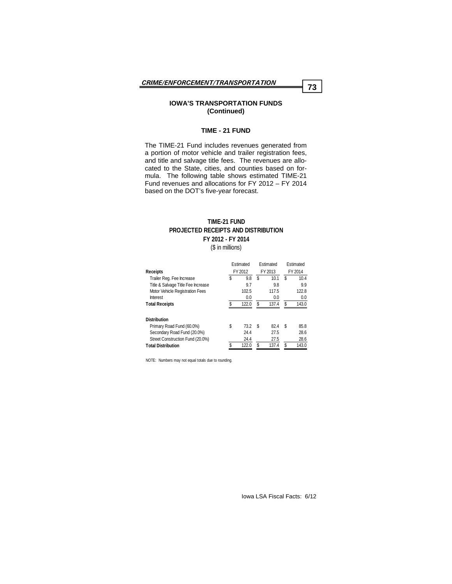#### **TIME - 21 FUND**

The TIME-21 Fund includes revenues generated from a portion of motor vehicle and trailer registration fees, and title and salvage title fees. The revenues are allocated to the State, cities, and counties based on formula. The following table shows estimated TIME-21 Fund revenues and allocations for FY 2012 – FY 2014 based on the DOT's five-year forecast.

## **TIME-21 FUND PROJECTED RECEIPTS AND DISTRIBUTION FY 2012 - FY 2014**

(\$ in millions)

|                                    | Estimated   |    | Estimated |   | Estimated |  |
|------------------------------------|-------------|----|-----------|---|-----------|--|
| <b>Receipts</b>                    | FY 2012     |    | FY 2013   |   | FY 2014   |  |
| Trailer Reg. Fee Increase          | \$<br>9.8   | \$ | 10.1      | S | 10.4      |  |
| Title & Salvage Title Fee Increase | 9.7         |    | 9.8       |   | 9.9       |  |
| Motor Vehicle Registration Fees    | 102.5       |    | 117.5     |   | 122.8     |  |
| Interest                           | 0.0         |    | 0.0       |   | 0.0       |  |
| <b>Total Receipts</b>              | \$<br>122.0 | \$ | 137.4     | S | 143.0     |  |
| <b>Distribution</b>                |             |    |           |   |           |  |
| Primary Road Fund (60.0%)          | \$<br>73.2  | S  | 82.4      | S | 85.8      |  |
| Secondary Road Fund (20.0%)        | 24.4        |    | 27.5      |   | 28.6      |  |
| Street Construction Fund (20.0%)   | 24.4        |    | 27.5      |   | 28.6      |  |
| <b>Total Distribution</b>          | \$<br>122.0 | \$ | 137.4     | S | 143.0     |  |

NOTE: Numbers may not equal totals due to rounding.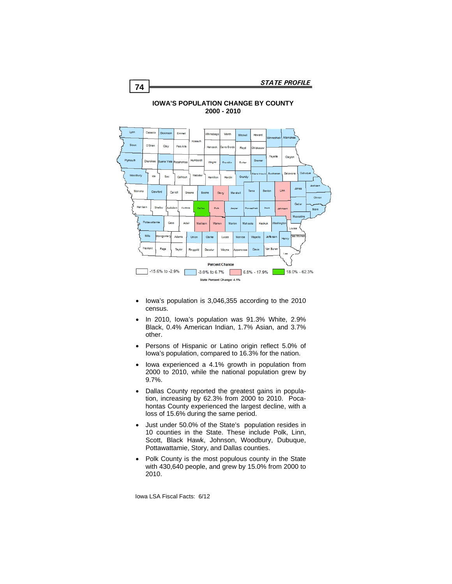



## **IOWA'S POPULATION CHANGE BY COUNTY 2000 - 2010**

- Iowa's population is 3,046,355 according to the 2010 census.
- In 2010, Iowa's population was 91.3% White, 2.9% Black, 0.4% American Indian, 1.7% Asian, and 3.7% other.
- Persons of Hispanic or Latino origin reflect 5.0% of Iowa's population, compared to 16.3% for the nation.
- Iowa experienced a 4.1% growth in population from 2000 to 2010, while the national population grew by 9.7%.
- Dallas County reported the greatest gains in population, increasing by 62.3% from 2000 to 2010. Pocahontas County experienced the largest decline, with a loss of 15.6% during the same period.
- Just under 50.0% of the State's population resides in 10 counties in the State. These include Polk, Linn, Scott, Black Hawk, Johnson, Woodbury, Dubuque, Pottawattamie, Story, and Dallas counties.
- Polk County is the most populous county in the State with 430,640 people, and grew by 15.0% from 2000 to 2010.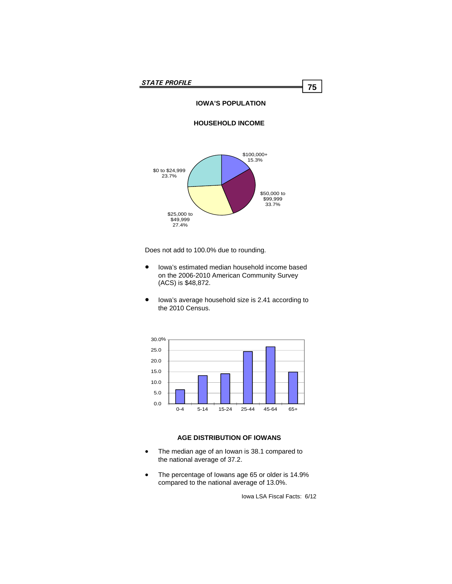## **IOWA'S POPULATION**

## **HOUSEHOLD INCOME**



Does not add to 100.0% due to rounding.

- Iowa's estimated median household income based on the 2006-2010 American Community Survey (ACS) is \$48,872.
- Iowa's average household size is 2.41 according to the 2010 Census.



## **AGE DISTRIBUTION OF IOWANS**

- The median age of an Iowan is 38.1 compared to the national average of 37.2.
- The percentage of Iowans age 65 or older is 14.9% compared to the national average of 13.0%.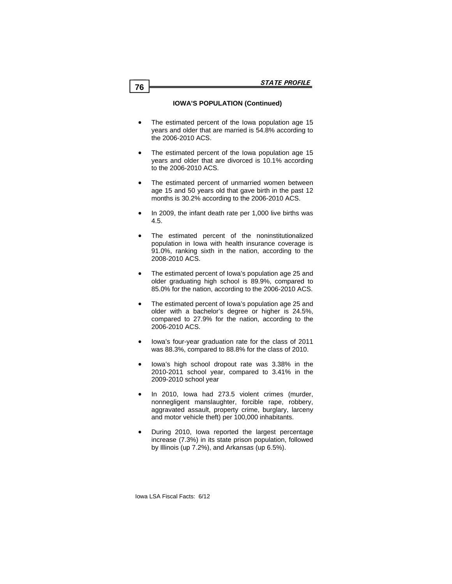## **IOWA'S POPULATION (Continued)**

- The estimated percent of the Iowa population age 15 years and older that are married is 54.8% according to the 2006-2010 ACS.
- The estimated percent of the Iowa population age 15 years and older that are divorced is 10.1% according to the 2006-2010 ACS.
- The estimated percent of unmarried women between age 15 and 50 years old that gave birth in the past 12 months is 30.2% according to the 2006-2010 ACS.
- In 2009, the infant death rate per 1,000 live births was 4.5.
- The estimated percent of the noninstitutionalized population in Iowa with health insurance coverage is 91.0%, ranking sixth in the nation, according to the 2008-2010 ACS.
- The estimated percent of Iowa's population age 25 and older graduating high school is 89.9%, compared to 85.0% for the nation, according to the 2006-2010 ACS.
- The estimated percent of Iowa's population age 25 and older with a bachelor's degree or higher is 24.5%, compared to 27.9% for the nation, according to the 2006-2010 ACS.
- Iowa's four-year graduation rate for the class of 2011 was 88.3%, compared to 88.8% for the class of 2010.
- Iowa's high school dropout rate was 3.38% in the 2010-2011 school year, compared to 3.41% in the 2009-2010 school year
- In 2010, Iowa had 273.5 violent crimes (murder, nonnegligent manslaughter, forcible rape, robbery, aggravated assault, property crime, burglary, larceny and motor vehicle theft) per 100,000 inhabitants.
- During 2010, Iowa reported the largest percentage increase (7.3%) in its state prison population, followed by Illinois (up 7.2%), and Arkansas (up 6.5%).